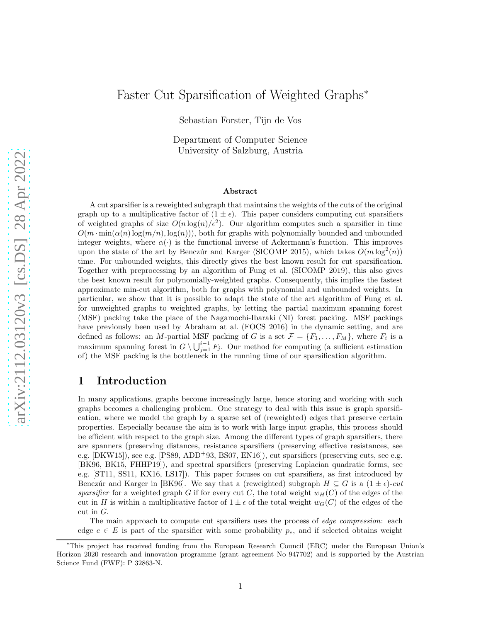# Faster Cut Sparsification of Weighted Graphs<sup>∗</sup>

Sebastian Forster, Tijn de Vos

Department of Computer Science University of Salzburg, Austria

#### Abstract

A cut sparsifier is a reweighted subgraph that maintains the weights of the cuts of the original graph up to a multiplicative factor of  $(1 \pm \epsilon)$ . This paper considers computing cut sparsifiers of weighted graphs of size  $O(n \log(n)/\epsilon^2)$ . Our algorithm computes such a sparsifier in time  $O(m \cdot \min(\alpha(n) \log(m/n), \log(n)))$ , both for graphs with polynomially bounded and unbounded integer weights, where  $\alpha(\cdot)$  is the functional inverse of Ackermann's function. This improves upon the state of the art by Benczúr and Karger (SICOMP 2015), which takes  $O(m \log^2(n))$ time. For unbounded weights, this directly gives the best known result for cut sparsification. Together with preprocessing by an algorithm of Fung et al. (SICOMP 2019), this also gives the best known result for polynomially-weighted graphs. Consequently, this implies the fastest approximate min-cut algorithm, both for graphs with polynomial and unbounded weights. In particular, we show that it is possible to adapt the state of the art algorithm of Fung et al. for unweighted graphs to weighted graphs, by letting the partial maximum spanning forest (MSF) packing take the place of the Nagamochi-Ibaraki (NI) forest packing. MSF packings have previously been used by Abraham at al. (FOCS 2016) in the dynamic setting, and are defined as follows: an *M*-partial MSF packing of G is a set  $\mathcal{F} = \{F_1, \ldots, F_M\}$ , where  $F_i$  is a maximum spanning forest in  $G \setminus \bigcup_{j=1}^{i-1} F_j$ . Our method for computing (a sufficient estimation of) the MSF packing is the bottleneck in the running time of our sparsification algorithm.

## 1 Introduction

In many applications, graphs become increasingly large, hence storing and working with such graphs becomes a challenging problem. One strategy to deal with this issue is graph sparsification, where we model the graph by a sparse set of (reweighted) edges that preserve certain properties. Especially because the aim is to work with large input graphs, this process should be efficient with respect to the graph size. Among the different types of graph sparsifiers, there are spanners (preserving distances, resistance sparsifiers (preserving effective resistances, see e.g.  $[DKW15]$ , see e.g.  $[PS89, ADD<sup>+</sup>93, BS07, EN16]$  $[PS89, ADD<sup>+</sup>93, BS07, EN16]$  $[PS89, ADD<sup>+</sup>93, BS07, EN16]$  $[PS89, ADD<sup>+</sup>93, BS07, EN16]$  $[PS89, ADD<sup>+</sup>93, BS07, EN16]$ , cut sparsifiers (preserving cuts, see e.g. [\[BK96,](#page-25-2) [BK15,](#page-25-3) [FHHP19\]](#page-26-2)), and spectral sparsifiers (preserving Laplacian quadratic forms, see e.g. [\[ST11,](#page-27-1) [SS11,](#page-27-2) [KX16,](#page-26-3) [LS17\]](#page-26-4)). This paper focuses on cut sparsifiers, as first introduced by Benczúr and Karger in [\[BK96\]](#page-25-2). We say that a (reweighted) subgraph  $H \subseteq G$  is a  $(1 \pm \epsilon)$ -*cut sparsifier* for a weighted graph G if for every cut C, the total weight  $w_H(C)$  of the edges of the cut in H is within a multiplicative factor of  $1 \pm \epsilon$  of the total weight  $w_G(C)$  of the edges of the cut in G.

The main approach to compute cut sparsifiers uses the process of *edge compression*: each edge  $e \in E$  is part of the sparsifier with some probability  $p_e$ , and if selected obtains weight

<sup>∗</sup>This project has received funding from the European Research Council (ERC) under the European Union's Horizon 2020 research and innovation programme (grant agreement No 947702) and is supported by the Austrian Science Fund (FWF): P 32863-N.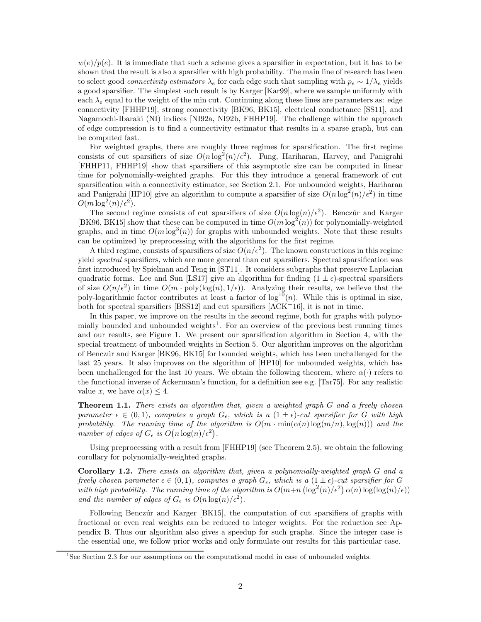$w(e)/p(e)$ . It is immediate that such a scheme gives a sparsifier in expectation, but it has to be shown that the result is also a sparsifier with high probability. The main line of research has been to select good *connectivity estimators*  $\lambda_e$  for each edge such that sampling with  $p_e \sim 1/\lambda_e$  yields a good sparsifier. The simplest such result is by Karger [\[Kar99\]](#page-26-5), where we sample uniformly with each  $\lambda_e$  equal to the weight of the min cut. Continuing along these lines are parameters as: edge connectivity [\[FHHP19\]](#page-26-2), strong connectivity [\[BK96,](#page-25-2) [BK15\]](#page-25-3), electrical conductance [\[SS11\]](#page-27-2), and Nagamochi-Ibaraki (NI) indices [\[NI92a,](#page-26-6) [NI92b,](#page-26-7) [FHHP19\]](#page-26-2). The challenge within the approach of edge compression is to find a connectivity estimator that results in a sparse graph, but can be computed fast.

For weighted graphs, there are roughly three regimes for sparsification. The first regime consists of cut sparsifiers of size  $O(n \log^2(n)/\epsilon^2)$ . Fung, Hariharan, Harvey, and Panigrahi [\[FHHP11,](#page-26-8) [FHHP19\]](#page-26-2) show that sparsifiers of this asymptotic size can be computed in linear time for polynomially-weighted graphs. For this they introduce a general framework of cut sparsification with a connectivity estimator, see Section [2.1.](#page-5-0) For unbounded weights, Hariharan and Panigrahi [\[HP10\]](#page-26-9) give an algorithm to compute a sparsifier of size  $O(n \log^2(n)/\epsilon^2)$  in time  $O(m \log^2(n)/\epsilon^2).$ 

The second regime consists of cut sparsifiers of size  $O(n \log(n)/\epsilon^2)$ . Benczúr and Karger [\[BK96,](#page-25-2) [BK15\]](#page-25-3) show that these can be computed in time  $O(m \log^2(n))$  for polynomially-weighted graphs, and in time  $O(m \log^3(n))$  for graphs with unbounded weights. Note that these results can be optimized by preprocessing with the algorithms for the first regime.

A third regime, consists of sparsifiers of size  $O(n/\epsilon^2)$ . The known constructions in this regime yield *spectral* sparsifiers, which are more general than cut sparsifiers. Spectral sparsification was first introduced by Spielman and Teng in [\[ST11\]](#page-27-1). It considers subgraphs that preserve Laplacian quadratic forms. Lee and Sun [\[LS17\]](#page-26-4) give an algorithm for finding  $(1 \pm \epsilon)$ -spectral sparsifiers of size  $O(n/\epsilon^2)$  in time  $O(m \cdot \text{poly}(\log(n), 1/\epsilon))$ . Analyzing their results, we believe that the poly-logarithmic factor contributes at least a factor of  $\log^{10}(n)$ . While this is optimal in size, both for spectral sparsifiers [\[BSS12\]](#page-25-4) and cut sparsifiers [\[ACK](#page-25-5)<sup>+</sup>16], it is not in time.

In this paper, we improve on the results in the second regime, both for graphs with polyno-mially bounded and unbounded weights<sup>[1](#page-1-0)</sup>. For an overview of the previous best running times and our results, see Figure [1.](#page-2-0) We present our sparsification algorithm in Section [4,](#page-9-0) with the special treatment of unbounded weights in Section [5.](#page-23-0) Our algorithm improves on the algorithm of Bencz´ur and Karger [\[BK96,](#page-25-2) [BK15\]](#page-25-3) for bounded weights, which has been unchallenged for the last 25 years. It also improves on the algorithm of [\[HP10\]](#page-26-9) for unbounded weights, which has been unchallenged for the last 10 years. We obtain the following theorem, where  $\alpha(\cdot)$  refers to the functional inverse of Ackermann's function, for a definition see e.g. [\[Tar75\]](#page-27-3). For any realistic value x, we have  $\alpha(x) \leq 4$ .

<span id="page-1-1"></span>Theorem 1.1. *There exists an algorithm that, given a weighted graph* G *and a freely chosen parameter*  $\epsilon \in (0,1)$ *, computes a graph*  $G_{\epsilon}$ *, which is a*  $(1 \pm \epsilon)$ *-cut sparsifier for* G *with high probability. The running time of the algorithm is*  $O(m \cdot \min(\alpha(n) \log(m/n), \log(n)))$  and the  $A$  *number of edges of*  $G_{\epsilon}$  *is*  $O(n \log(n)/\epsilon^2)$ .

Using preprocessing with a result from [\[FHHP19\]](#page-26-2) (see Theorem [2.5\)](#page-6-0), we obtain the following corollary for polynomially-weighted graphs.

<span id="page-1-2"></span>Corollary 1.2. *There exists an algorithm that, given a polynomially-weighted graph* G *and a freely chosen parameter*  $\epsilon \in (0,1)$ *, computes a graph*  $G_{\epsilon}$ *, which is a*  $(1 \pm \epsilon)$ *-cut sparsifier for* G with high probability. The running time of the algorithm is  $O(m+n \left(\log^2(n)/\epsilon^2\right) \alpha(n) \log(\log(n)/\epsilon))$ and the number of edges of  $G_{\epsilon}$  is  $O(n \log(n)/\epsilon^2)$ .

Following Benczúr and Karger [\[BK15\]](#page-25-3), the computation of cut sparsifiers of graphs with fractional or even real weights can be reduced to integer weights. For the reduction see Appendix [B.](#page-27-4) Thus our algorithm also gives a speedup for such graphs. Since the integer case is the essential one, we follow prior works and only formulate our results for this particular case.

<span id="page-1-0"></span><sup>&</sup>lt;sup>1</sup>See Section [2.3](#page-7-0) for our assumptions on the computational model in case of unbounded weights.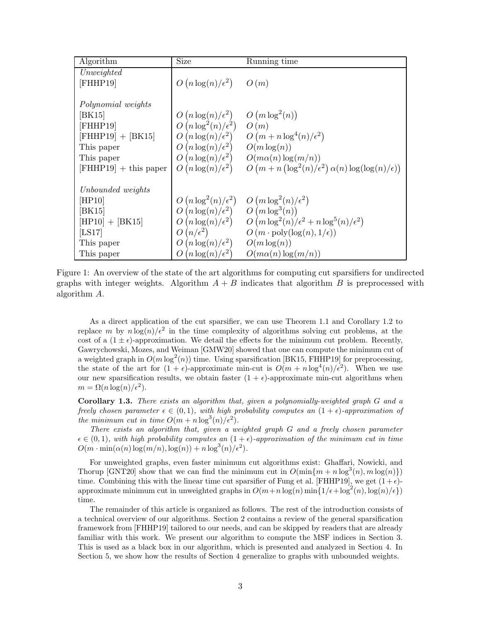<span id="page-2-0"></span>

| Algorithm               | <b>Size</b>                                                               | Running time                                                                  |
|-------------------------|---------------------------------------------------------------------------|-------------------------------------------------------------------------------|
| Unweighted              |                                                                           |                                                                               |
| [FHHP19]                | $O(n \log(n)/\epsilon^2)$ $O(m)$                                          |                                                                               |
| Polynomial weights      |                                                                           |                                                                               |
| [BK15]                  | $\left(n \log(n)/\epsilon^2\right)$ $O\left(m \log^2(n)\right)$<br>$\cup$ |                                                                               |
| [FHHP19]                | $O(n \log^2(n)/\epsilon^2)$                                               | O(m)                                                                          |
| $[FHHP19] + [BK15]$     | $O(n \log(n)/\epsilon^2)$                                                 | $O(m + n \log^4(n)/\epsilon^2)$                                               |
| This paper              | $O(n \log(n)/\epsilon^2)$                                                 | $O(m \log(n))$                                                                |
| This paper              | $O(n \log(n)/\epsilon^2)$                                                 | $O(m\alpha(n)\log(m/n))$                                                      |
| $[FHHP19] + this paper$ | $O(n \log(n)/\epsilon^2)$                                                 | $O(m + n \left(\log^2(n)/\epsilon^2\right) \alpha(n) \log(\log(n)/\epsilon))$ |
|                         |                                                                           |                                                                               |
| Unbounded weights       |                                                                           |                                                                               |
| HP10                    | $O(n \log^2(n)/\epsilon^2)$                                               | $O(m \log^2(n)/\epsilon^2)$                                                   |
| [BK15]                  | $O(n \log(n)/\epsilon^2)$ $O(m \log^3(n))$                                |                                                                               |
| $[HP10] + [BK15]$       | $O(n \log(n)/\epsilon^2)$                                                 | $O(m \log^2(n)/\epsilon^2 + n \log^5(n)/\epsilon^2)$                          |
| [LS17]                  | $O(n/\epsilon^2)$                                                         | $O(m \cdot \text{poly}(\log(n), 1/\epsilon))$                                 |
| This paper              | $O(n \log(n)/\epsilon^2)$                                                 | $O(m \log(n))$                                                                |
| This paper              | $(n \log(n)/\epsilon^2)$                                                  | $O(m\alpha(n)\log(m/n))$                                                      |

Figure 1: An overview of the state of the art algorithms for computing cut sparsifiers for undirected graphs with integer weights. Algorithm  $A + B$  indicates that algorithm B is preprocessed with algorithm A.

As a direct application of the cut sparsifier, we can use Theorem [1.1](#page-1-1) and Corollary [1.2](#page-1-2) to replace m by  $n \log(n)/\epsilon^2$  in the time complexity of algorithms solving cut problems, at the cost of a  $(1 \pm \epsilon)$ -approximation. We detail the effects for the minimum cut problem. Recently, Gawrychowski, Mozes, and Weiman [\[GMW20\]](#page-26-10) showed that one can compute the minimum cut of a weighted graph in  $O(m \log^2(n))$  time. Using sparsification [\[BK15,](#page-25-3) [FHHP19\]](#page-26-2) for preprocessing, the state of the art for  $(1 + \epsilon)$ -approximate min-cut is  $O(m + n \log^4(n)/\epsilon^2)$ . When we use our new sparsification results, we obtain faster  $(1 + \epsilon)$ -approximate min-cut algorithms when  $m = \Omega(n \log(n) / \epsilon^2).$ 

Corollary 1.3. *There exists an algorithm that, given a polynomially-weighted graph* G *and a freely chosen parameter*  $\epsilon \in (0,1)$ *, with high probability computes an*  $(1+\epsilon)$ *-approximation of the minimum cut in time*  $O(m + n \log^3(n)/\epsilon^2)$ *.* 

*There exists an algorithm that, given a weighted graph* G *and a freely chosen parameter*  $\epsilon \in (0,1)$ *, with high probability computes an*  $(1+\epsilon)$ *-approximation of the minimum cut in time*  $O(m \cdot \min(\alpha(n) \log(m/n), \log(n)) + n \log^3(n)/\epsilon^2)$ .

For unweighted graphs, even faster minimum cut algorithms exist: Ghaffari, Nowicki, and Thorup [\[GNT20\]](#page-26-11) show that we can find the minimum cut in  $O(\min\{m + n \log^3(n), m \log(n)\})$ time. Combining this with the linear time cut sparsifier of Fung et al. [\[FHHP19\]](#page-26-2), we get  $(1 + \epsilon)$ approximate minimum cut in unweighted graphs in  $O(m+n \log(n) \min\{1/\epsilon + \log^2(n), \log(n)/\epsilon\})$ time.

The remainder of this article is organized as follows. The rest of the introduction consists of a technical overview of our algorithms. Section [2](#page-4-0) contains a review of the general sparsification framework from [\[FHHP19\]](#page-26-2) tailored to our needs, and can be skipped by readers that are already familiar with this work. We present our algorithm to compute the MSF indices in Section [3.](#page-7-1) This is used as a black box in our algorithm, which is presented and analyzed in Section [4.](#page-9-0) In Section [5,](#page-23-0) we show how the results of Section [4](#page-9-0) generalize to graphs with unbounded weights.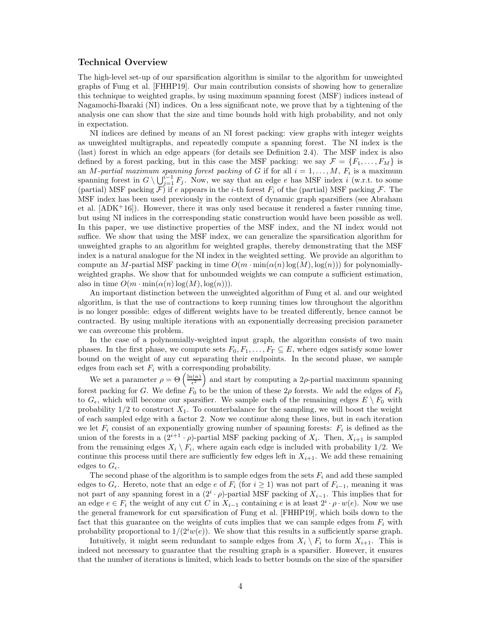#### Technical Overview

The high-level set-up of our sparsification algorithm is similar to the algorithm for unweighted graphs of Fung et al. [\[FHHP19\]](#page-26-2). Our main contribution consists of showing how to generalize this technique to weighted graphs, by using maximum spanning forest (MSF) indices instead of Nagamochi-Ibaraki (NI) indices. On a less significant note, we prove that by a tightening of the analysis one can show that the size and time bounds hold with high probability, and not only in expectation.

NI indices are defined by means of an NI forest packing: view graphs with integer weights as unweighted multigraphs, and repeatedly compute a spanning forest. The NI index is the (last) forest in which an edge appears (for details see Definition [2.4\)](#page-6-1). The MSF index is also defined by a forest packing, but in this case the MSF packing: we say  $\mathcal{F} = \{F_1, \ldots, F_M\}$  is an *M*-partial maximum spanning forest packing of G if for all  $i = 1, \ldots, M$ ,  $F_i$  is a maximum spanning forest in  $G \setminus \bigcup_{j=1}^{i-1} F_j$ . Now, we say that an edge e has MSF index i (w.r.t. to some (partial) MSF packing  $\mathcal{F}'$  if e appears in the *i*-th forest  $F_i$  of the (partial) MSF packing  $\mathcal{F}$ . The MSF index has been used previously in the context of dynamic graph sparsifiers (see Abraham et al.  $[ADK^+16]$ . However, there it was only used because it rendered a faster running time, but using NI indices in the corresponding static construction would have been possible as well. In this paper, we use distinctive properties of the MSF index, and the NI index would not suffice. We show that using the MSF index, we can generalize the sparsification algorithm for unweighted graphs to an algorithm for weighted graphs, thereby demonstrating that the MSF index is a natural analogue for the NI index in the weighted setting. We provide an algorithm to compute an M-partial MSF packing in time  $O(m \cdot \min(\alpha(n) \log(M), \log(n)))$  for polynomiallyweighted graphs. We show that for unbounded weights we can compute a sufficient estimation, also in time  $O(m \cdot \min(\alpha(n) \log(M), \log(n)))$ .

An important distinction between the unweighted algorithm of Fung et al. and our weighted algorithm, is that the use of contractions to keep running times low throughout the algorithm is no longer possible: edges of different weights have to be treated differently, hence cannot be contracted. By using multiple iterations with an exponentially decreasing precision parameter we can overcome this problem.

In the case of a polynomially-weighted input graph, the algorithm consists of two main phases. In the first phase, we compute sets  $F_0, F_1, \ldots, F_{\Gamma} \subseteq E$ , where edges satisfy some lower bound on the weight of any cut separating their endpoints. In the second phase, we sample edges from each set  $F_i$  with a corresponding probability.

We set a parameter  $\rho = \Theta\left(\frac{\ln(n)}{\epsilon^2}\right)$  $\frac{a(n)}{\epsilon^2}$  and start by computing a 2p-partial maximum spanning forest packing for G. We define  $F_0$  to be the union of these  $2\rho$  forests. We add the edges of  $F_0$ to  $G_{\epsilon}$ , which will become our sparsifier. We sample each of the remaining edges  $E \setminus F_0$  with probability  $1/2$  to construct  $X_1$ . To counterbalance for the sampling, we will boost the weight of each sampled edge with a factor 2. Now we continue along these lines, but in each iteration we let  $F_i$  consist of an exponentially growing number of spanning forests:  $F_i$  is defined as the union of the forests in a  $(2^{i+1} \cdot \rho)$ -partial MSF packing packing of  $X_i$ . Then,  $X_{i+1}$  is sampled from the remaining edges  $X_i \setminus F_i$ , where again each edge is included with probability 1/2. We continue this process until there are sufficiently few edges left in  $X_{i+1}$ . We add these remaining edges to  $G_{\epsilon}$ .

The second phase of the algorithm is to sample edges from the sets  $F_i$  and add these sampled edges to  $G_{\epsilon}$ . Hereto, note that an edge e of  $F_i$  (for  $i \geq 1$ ) was not part of  $F_{i-1}$ , meaning it was not part of any spanning forest in a  $(2<sup>i</sup> \cdot \rho)$ -partial MSF packing of  $X_{i-1}$ . This implies that for an edge  $e \in F_i$  the weight of any cut C in  $X_{i-1}$  containing e is at least  $2^i \cdot \rho \cdot w(e)$ . Now we use the general framework for cut sparsification of Fung et al. [\[FHHP19\]](#page-26-2), which boils down to the fact that this guarantee on the weights of cuts implies that we can sample edges from  $F_i$  with probability proportional to  $1/(2^i w(e))$ . We show that this results in a sufficiently sparse graph.

Intuitively, it might seem redundant to sample edges from  $X_i \setminus F_i$  to form  $X_{i+1}$ . This is indeed not necessary to guarantee that the resulting graph is a sparsifier. However, it ensures that the number of iterations is limited, which leads to better bounds on the size of the sparsifier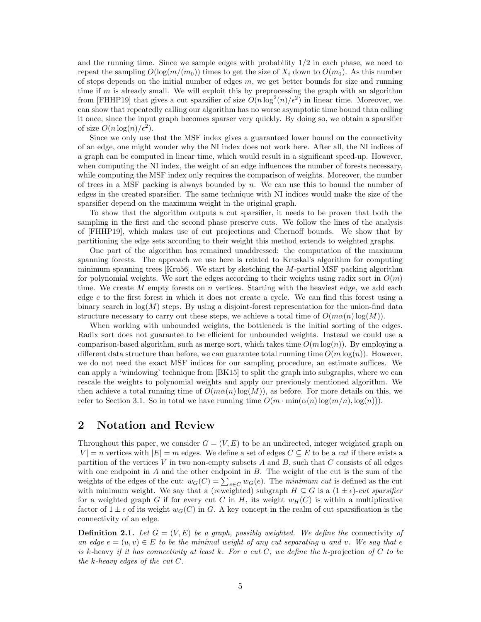and the running time. Since we sample edges with probability  $1/2$  in each phase, we need to repeat the sampling  $O(\log(m/(m_0)))$  times to get the size of  $X_i$  down to  $O(m_0)$ . As this number of steps depends on the initial number of edges  $m$ , we get better bounds for size and running time if  $m$  is already small. We will exploit this by preprocessing the graph with an algorithm from [\[FHHP19\]](#page-26-2) that gives a cut sparsifier of size  $O(n \log^2(n)/\epsilon^2)$  in linear time. Moreover, we can show that repeatedly calling our algorithm has no worse asymptotic time bound than calling it once, since the input graph becomes sparser very quickly. By doing so, we obtain a sparsifier of size  $O(n \log(n)/\epsilon^2)$ .

Since we only use that the MSF index gives a guaranteed lower bound on the connectivity of an edge, one might wonder why the NI index does not work here. After all, the NI indices of a graph can be computed in linear time, which would result in a significant speed-up. However, when computing the NI index, the weight of an edge influences the number of forests necessary, while computing the MSF index only requires the comparison of weights. Moreover, the number of trees in a MSF packing is always bounded by  $n$ . We can use this to bound the number of edges in the created sparsifier. The same technique with NI indices would make the size of the sparsifier depend on the maximum weight in the original graph.

To show that the algorithm outputs a cut sparsifier, it needs to be proven that both the sampling in the first and the second phase preserve cuts. We follow the lines of the analysis of [\[FHHP19\]](#page-26-2), which makes use of cut projections and Chernoff bounds. We show that by partitioning the edge sets according to their weight this method extends to weighted graphs.

One part of the algorithm has remained unaddressed: the computation of the maximum spanning forests. The approach we use here is related to Kruskal's algorithm for computing minimum spanning trees [\[Kru56\]](#page-26-12). We start by sketching the M-partial MSF packing algorithm for polynomial weights. We sort the edges according to their weights using radix sort in  $O(m)$ time. We create M empty forests on n vertices. Starting with the heaviest edge, we add each edge e to the first forest in which it does not create a cycle. We can find this forest using a binary search in  $log(M)$  steps. By using a disjoint-forest representation for the union-find data structure necessary to carry out these steps, we achieve a total time of  $O(m\alpha(n) \log(M))$ .

When working with unbounded weights, the bottleneck is the initial sorting of the edges. Radix sort does not guarantee to be efficient for unbounded weights. Instead we could use a comparison-based algorithm, such as merge sort, which takes time  $O(m \log(n))$ . By employing a different data structure than before, we can guarantee total running time  $O(m \log(n))$ . However, we do not need the exact MSF indices for our sampling procedure, an estimate suffices. We can apply a 'windowing' technique from [\[BK15\]](#page-25-3) to split the graph into subgraphs, where we can rescale the weights to polynomial weights and apply our previously mentioned algorithm. We then achieve a total running time of  $O(m\alpha(n) \log(M))$ , as before. For more details on this, we refer to Section [3.1.](#page-9-1) So in total we have running time  $O(m \cdot \min(\alpha(n) \log(m/n), \log(n)))$ .

# <span id="page-4-0"></span>2 Notation and Review

Throughout this paper, we consider  $G = (V, E)$  to be an undirected, integer weighted graph on  $|V| = n$  vertices with  $|E| = m$  edges. We define a set of edges  $C \subseteq E$  to be a *cut* if there exists a partition of the vertices V in two non-empty subsets A and B, such that C consists of all edges with one endpoint in  $A$  and the other endpoint in  $B$ . The weight of the cut is the sum of the weights of the edges of the cut:  $w_G(C) = \sum_{e \in C} w_G(e)$ . The *minimum cut* is defined as the cut with minimum weight. We say that a (reweighted) subgraph  $H \subseteq G$  is a  $(1 \pm \epsilon)$ -*cut sparsifier* for a weighted graph G if for every cut C in H, its weight  $w_H(C)$  is within a multiplicative factor of  $1 \pm \epsilon$  of its weight  $w_G(C)$  in G. A key concept in the realm of cut sparsification is the connectivity of an edge.

**Definition 2.1.** Let  $G = (V, E)$  be a graph, possibly weighted. We define the connectivity of *an edge*  $e = (u, v) \in E$  *to be the minimal weight of any cut separating* u and v. We say that e *is* k*-*heavy *if it has connectivity at least* k*. For a cut* C*, we define the* k*-*projection *of* C *to be the* k*-heavy edges of the cut* C*.*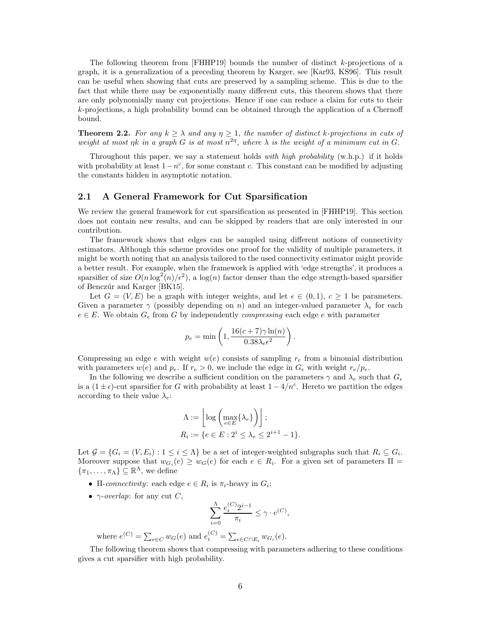The following theorem from  $[FHHP19]$  bounds the number of distinct k-projections of a graph, it is a generalization of a preceding theorem by Karger, see [\[Kar93,](#page-26-13) [KS96\]](#page-26-14). This result can be useful when showing that cuts are preserved by a sampling scheme. This is due to the fact that while there may be exponentially many different cuts, this theorem shows that there are only polynomially many cut projections. Hence if one can reduce a claim for cuts to their k-projections, a high probability bound can be obtained through the application of a Chernoff bound.

<span id="page-5-1"></span>**Theorem 2.2.** For any  $k \geq \lambda$  and any  $\eta \geq 1$ , the number of distinct k-projections in cuts of weight at most  $\eta k$  in a graph G is at most  $n^{2\eta}$ , where  $\lambda$  is the weight of a minimum cut in G.

Throughout this paper, we say a statement holds *with high probability* (w.h.p.) if it holds with probability at least  $1-n^c$ , for some constant c. This constant can be modified by adjusting the constants hidden in asymptotic notation.

### <span id="page-5-0"></span>2.1 A General Framework for Cut Sparsification

We review the general framework for cut sparsification as presented in [\[FHHP19\]](#page-26-2). This section does not contain new results, and can be skipped by readers that are only interested in our contribution.

The framework shows that edges can be sampled using different notions of connectivity estimators. Although this scheme provides one proof for the validity of multiple parameters, it might be worth noting that an analysis tailored to the used connectivity estimator might provide a better result. For example, when the framework is applied with 'edge strengths', it produces a sparsifier of size  $O(n \log^2(n)/\epsilon^2)$ , a  $\log(n)$  factor denser than the edge strength-based sparsifier of Benczúr and Karger [\[BK15\]](#page-25-3).

Let  $G = (V, E)$  be a graph with integer weights, and let  $\epsilon \in (0, 1), c \geq 1$  be parameters. Given a parameter  $\gamma$  (possibly depending on n) and an integer-valued parameter  $\lambda_e$  for each  $e \in E$ . We obtain  $G_{\epsilon}$  from G by independently *compressing* each edge e with parameter

$$
p_e = \min\left(1, \frac{16(c+7)\gamma \ln(n)}{0.38\lambda_e\epsilon^2}\right).
$$

Compressing an edge e with weight  $w(e)$  consists of sampling  $r_e$  from a binomial distribution with parameters  $w(e)$  and  $p_e$ . If  $r_e > 0$ , we include the edge in  $G_{\epsilon}$  with weight  $r_e/p_e$ .

In the following we describe a sufficient condition on the parameters  $\gamma$  and  $\lambda_e$  such that  $G_{\epsilon}$ is a  $(1 \pm \epsilon)$ -cut sparsifier for G with probability at least  $1 - 4/n^c$ . Hereto we partition the edges according to their value  $\lambda_e$ :

$$
\Lambda := \left\lfloor \log \left( \max_{e \in E} \{ \lambda_e \} \right) \right\rfloor;
$$
  

$$
R_i := \{ e \in E : 2^i \le \lambda_e \le 2^{i+1} - 1 \}.
$$

Let  $\mathcal{G} = \{G_i = (V, E_i) : 1 \leq i \leq \Lambda\}$  be a set of integer-weighted subgraphs such that  $R_i \subseteq G_i$ . Moreover suppose that  $w_{G_i}(e) \geq w_G(e)$  for each  $e \in R_i$ . For a given set of parameters  $\Pi =$  $\{\pi_1, \ldots, \pi_{\Lambda}\} \subseteq \mathbb{R}^{\Lambda}$ , we define

- II-connectivity: each edge  $e \in R_i$  is  $\pi_i$ -heavy in  $G_i$ ;
- $\gamma$ -*overlap*: for any cut C,

$$
\sum_{i=0}^{\Lambda} \frac{e_i^{(C)} 2^{i-1}}{\pi_i} \le \gamma \cdot e^{(C)},
$$

where  $e^{(C)} = \sum_{e \in C} w_G(e)$  and  $e_i^{(C)} = \sum_{e \in C \cap E_i} w_{G_i}(e)$ .

The following theorem shows that compressing with parameters adhering to these conditions gives a cut sparsifier with high probability.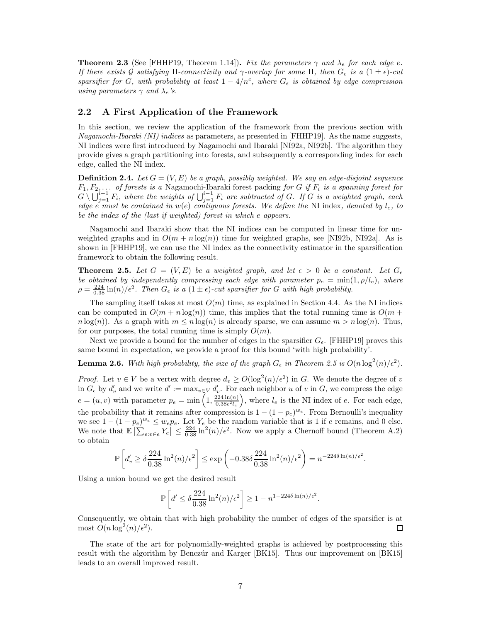<span id="page-6-2"></span>**Theorem 2.3** (See [\[FHHP19,](#page-26-2) Theorem 1.14]). *Fix the parameters*  $\gamma$  *and*  $\lambda_e$  *for each edge e. If there exists* G *satisfying*  $\Pi$ *-connectivity and*  $\gamma$ *-overlap for some*  $\Pi$ *, then*  $G_{\epsilon}$  *is a*  $(1 \pm \epsilon)$ *-cut sparsifier for* G, with probability at least  $1 - 4/n^c$ , where  $G_{\epsilon}$  is obtained by edge compression *using parameters*  $\gamma$  *and*  $\lambda_e$ *'s.* 

### 2.2 A First Application of the Framework

In this section, we review the application of the framework from the previous section with *Nagamochi-Ibaraki (NI) indices* as parameters, as presented in [\[FHHP19\]](#page-26-2). As the name suggests, NI indices were first introduced by Nagamochi and Ibaraki [\[NI92a,](#page-26-6) [NI92b\]](#page-26-7). The algorithm they provide gives a graph partitioning into forests, and subsequently a corresponding index for each edge, called the NI index.

<span id="page-6-1"></span>**Definition 2.4.** Let  $G = (V, E)$  be a graph, possibly weighted. We say an edge-disjoint sequence  $F_1, F_2, \ldots$  *of forests is a* Nagamochi-Ibaraki forest packing *for* G *if*  $F_i$  *is a spanning forest for*  $G \setminus \bigcup_{j=1}^{i-1} F_i$ , where the weights of  $\bigcup_{j=1}^{i-1} F_i$  are subtracted of G. If G is a weighted graph, each *edge*  $e^{i}$  *must be contained in*  $w(e)$  *contiguous forests. We define the* NI index, *denoted by*  $l_e$ , *to be the index of the (last if weighted) forest in which* e *appears.*

Nagamochi and Ibaraki show that the NI indices can be computed in linear time for unweighted graphs and in  $O(m + n \log(n))$  time for weighted graphs, see [\[NI92b,](#page-26-7) [NI92a\]](#page-26-6). As is shown in [\[FHHP19\]](#page-26-2), we can use the NI index as the connectivity estimator in the sparsification framework to obtain the following result.

<span id="page-6-0"></span>**Theorem 2.5.** Let  $G = (V, E)$  be a weighted graph, and let  $\epsilon > 0$  be a constant. Let  $G_{\epsilon}$ *be obtained by independently compressing each edge with parameter*  $p_e = \min(1, \rho/l_e)$ *, where*  $\rho = \frac{224}{0.38} \ln(n)/\epsilon^2$ . Then  $G_{\epsilon}$  is a  $(1 \pm \epsilon)$ *-cut sparsifier for* G with high probability.

The sampling itself takes at most  $O(m)$  time, as explained in Section [4.4.](#page-22-0) As the NI indices can be computed in  $O(m + n \log(n))$  time, this implies that the total running time is  $O(m + n \log(n))$  $n \log(n)$ . As a graph with  $m \le n \log(n)$  is already sparse, we can assume  $m > n \log(n)$ . Thus, for our purposes, the total running time is simply  $O(m)$ .

Next we provide a bound for the number of edges in the sparsifier  $G_{\epsilon}$ . [\[FHHP19\]](#page-26-2) proves this same bound in expectation, we provide a proof for this bound 'with high probability'.

### **Lemma 2.6.** With high probability, the size of the graph  $G_{\epsilon}$  in Theorem [2.5](#page-6-0) is  $O(n \log^2(n)/\epsilon^2)$ .

*Proof.* Let  $v \in V$  be a vertex with degree  $d_v \ge O(\log^2(n)/\epsilon^2)$  in G. We denote the degree of v in  $G_{\epsilon}$  by  $d'_{v}$  and we write  $d' := \max_{v \in V} d'_{v}$ . For each neighbor u of v in G, we compress the edge  $e = (u, v)$  with parameter  $p_e = \min\left(1, \frac{224 \ln(n)}{0.38\epsilon^2 l_e}\right)$  $0.38\epsilon^2 l_e$ ), where  $l_e$  is the NI index of  $e$ . For each edge, the probability that it remains after compression is  $1 - (1 - p_e)^{w_e}$ . From Bernoulli's inequality we see  $1 - (1 - p_e)^{w_e} \leq w_e p_e$ . Let  $Y_e$  be the random variable that is 1 if e remains, and 0 else. We note that  $\mathbb{E}\left[\sum_{e:v\in e}Y_e\right] \leq \frac{224}{0.38}\ln^2(n)/\epsilon^2$ . Now we apply a Chernoff bound (Theorem [A.2\)](#page-27-5) to obtain

$$
\mathbb{P}\left[d'_v \ge \delta \frac{224}{0.38} \ln^2(n)/\epsilon^2\right] \le \exp\left(-0.38\delta \frac{224}{0.38} \ln^2(n)/\epsilon^2\right) = n^{-224\delta \ln(n)/\epsilon^2}.
$$

Using a union bound we get the desired result

$$
\mathbb{P}\left[d' \le \delta \frac{224}{0.38} \ln^2(n)/\epsilon^2\right] \ge 1 - n^{1-224\delta \ln(n)/\epsilon^2}.
$$

Consequently, we obtain that with high probability the number of edges of the sparsifier is at most  $O(n \log^2(n)/\epsilon^2)$ .  $\Box$ 

The state of the art for polynomially-weighted graphs is achieved by postprocessing this result with the algorithm by Benczúr and Karger [\[BK15\]](#page-25-3). Thus our improvement on [BK15] leads to an overall improved result.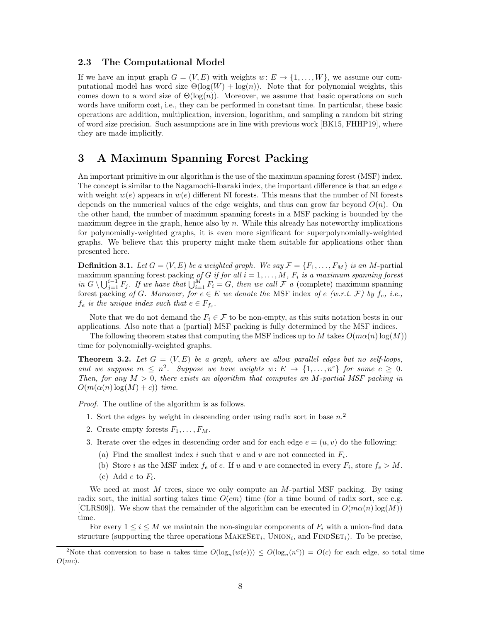### <span id="page-7-0"></span>2.3 The Computational Model

If we have an input graph  $G = (V, E)$  with weights  $w: E \to \{1, \ldots, W\}$ , we assume our computational model has word size  $\Theta(\log(W) + \log(n))$ . Note that for polynomial weights, this comes down to a word size of  $\Theta(\log(n))$ . Moreover, we assume that basic operations on such words have uniform cost, i.e., they can be performed in constant time. In particular, these basic operations are addition, multiplication, inversion, logarithm, and sampling a random bit string of word size precision. Such assumptions are in line with previous work [\[BK15,](#page-25-3) [FHHP19\]](#page-26-2), where they are made implicitly.

# <span id="page-7-1"></span>3 A Maximum Spanning Forest Packing

An important primitive in our algorithm is the use of the maximum spanning forest (MSF) index. The concept is similar to the Nagamochi-Ibaraki index, the important difference is that an edge  $e$ with weight  $w(e)$  appears in  $w(e)$  different NI forests. This means that the number of NI forests depends on the numerical values of the edge weights, and thus can grow far beyond  $O(n)$ . On the other hand, the number of maximum spanning forests in a MSF packing is bounded by the maximum degree in the graph, hence also by  $n$ . While this already has noteworthy implications for polynomially-weighted graphs, it is even more significant for superpolynomially-weighted graphs. We believe that this property might make them suitable for applications other than presented here.

**Definition 3.1.** Let  $G = (V, E)$  be a weighted graph. We say  $\mathcal{F} = \{F_1, \ldots, F_M\}$  is an M-partial maximum spanning forest packing *of* G *if for all*  $i = 1, \ldots, M$ ,  $F_i$  *is a maximum spanning forest in*  $G \setminus \bigcup_{j=1}^{i-1} F_j$ *. If we have that*  $\bigcup_{i=1}^{M} F_i = G$ *, then we call*  $\mathcal F$  *a* (complete) maximum spanning forest packing *of* G. Moreover, for  $e \in E$  we denote the MSF index *of*  $e$  (w.r.t.  $\mathcal{F}$ ) by  $f_e$ , *i.e.*,  $f_e$  is the unique index such that  $e \in F_{f_e}$ .

Note that we do not demand the  $F_i \in \mathcal{F}$  to be non-empty, as this suits notation bests in our applications. Also note that a (partial) MSF packing is fully determined by the MSF indices.

The following theorem states that computing the MSF indices up to M takes  $O(m\alpha(n)\log(M))$ time for polynomially-weighted graphs.

<span id="page-7-4"></span>**Theorem 3.2.** Let  $G = (V, E)$  be a graph, where we allow parallel edges but no self-loops, and we suppose  $m \leq n^2$ . Suppose we have weights  $w: E \to \{1, ..., n^c\}$  for some  $c \geq 0$ . *Then, for any* M > 0*, there exists an algorithm that computes an* M*-partial MSF packing in*  $O(m(\alpha(n) \log(M) + c))$  *time.* 

<span id="page-7-6"></span><span id="page-7-5"></span>*Proof.* The outline of the algorithm is as follows.

- 1. Sort the edges by weight in descending order using radix sort in base  $n<sup>2</sup>$  $n<sup>2</sup>$  $n<sup>2</sup>$
- <span id="page-7-7"></span>2. Create empty forests  $F_1, \ldots, F_M$ .
- <span id="page-7-3"></span>3. Iterate over the edges in descending order and for each edge  $e = (u, v)$  do the following:
	- (a) Find the smallest index i such that u and v are not connected in  $F_i$ .
	- (b) Store *i* as the MSF index  $f_e$  of *e*. If u and v are connected in every  $F_i$ , store  $f_e > M$ .
	- (c) Add  $e$  to  $F_i$ .

We need at most  $M$  trees, since we only compute an  $M$ -partial MSF packing. By using radix sort, the initial sorting takes time  $O(cm)$  time (for a time bound of radix sort, see e.g. [\[CLRS09\]](#page-25-7)). We show that the remainder of the algorithm can be executed in  $O(m\alpha(n)\log(M))$ time.

For every  $1 \leq i \leq M$  we maintain the non-singular components of  $F_i$  with a union-find data structure (supporting the three operations  $\text{MAKESET}_i$ ,  $\text{UNION}_i$ , and  $\text{FINDSET}_i$ ). To be precise,

<span id="page-7-2"></span><sup>&</sup>lt;sup>2</sup>Note that conversion to base n takes time  $O(\log_n(w(e))) \leq O(\log_n(n^c)) = O(c)$  for each edge, so total time  $O(mc)$ .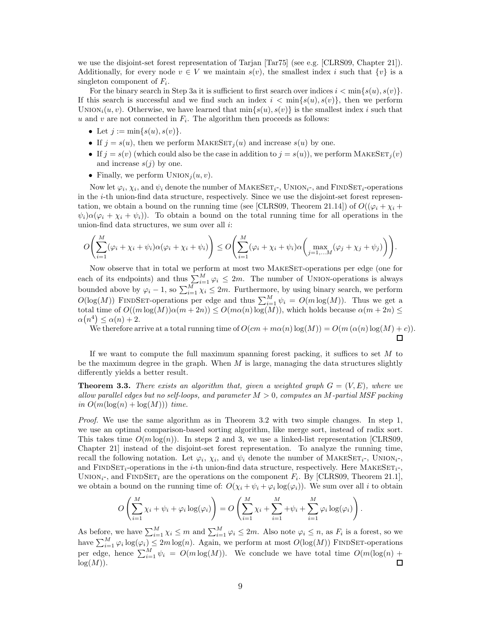we use the disjoint-set forest representation of Tarjan [\[Tar75\]](#page-27-3) (see e.g. [\[CLRS09,](#page-25-7) Chapter 21]). Additionally, for every node  $v \in V$  we maintain  $s(v)$ , the smallest index i such that  $\{v\}$  is a singleton component of  $F_i$ .

For the binary search in Step [3a](#page-7-3) it is sufficient to first search over indices  $i < \min\{s(u), s(v)\}\$ . If this search is successful and we find such an index  $i < \min\{s(u), s(v)\}\)$ , then we perform UNION<sub>i</sub> $(u, v)$ . Otherwise, we have learned that  $\min\{s(u), s(v)\}\$ is the smallest index i such that u and v are not connected in  $F_i$ . The algorithm then proceeds as follows:

- Let  $j := \min\{s(u), s(v)\}.$
- If  $j = s(u)$ , then we perform MAKESET<sub>i</sub> $(u)$  and increase  $s(u)$  by one.
- If  $j = s(v)$  (which could also be the case in addition to  $j = s(u)$ ), we perform MAKESET<sub>i</sub> $(v)$ and increase  $s(j)$  by one.
- Finally, we perform  $UNION<sub>i</sub>(u, v)$ .

Now let  $\varphi_i$ ,  $\chi_i$ , and  $\psi_i$  denote the number of MAKESET<sub>i</sub>-, UNION<sub>i</sub>-, and FINDSET<sub>i</sub>-operations in the i-th union-find data structure, respectively. Since we use the disjoint-set forest represen-tation, we obtain a bound on the running time (see [\[CLRS09,](#page-25-7) Theorem 21.14]) of  $O((\varphi_i + \chi_i +$  $\psi_i\alpha(\varphi_i + \chi_i + \psi_i)$ . To obtain a bound on the total running time for all operations in the union-find data structures, we sum over all  $i$ :

$$
O\left(\sum_{i=1}^M (\varphi_i + \chi_i + \psi_i)\alpha(\varphi_i + \chi_i + \psi_i)\right) \leq O\left(\sum_{i=1}^M (\varphi_i + \chi_i + \psi_i)\alpha\left(\max_{j=1,...M} (\varphi_j + \chi_j + \psi_j)\right)\right).
$$

Now observe that in total we perform at most two MAKESET-operations per edge (one for each of its endpoints) and thus  $\sum_{i=1}^{M} \varphi_i \leq 2m$ . The number of UNION-operations is always bounded above by  $\varphi_i - 1$ , so  $\sum_{i=1}^{M} \chi_i \leq 2m$ . Furthermore, by using binary search, we perform  $O(\log(M))$  FINDSET-operations per edge and thus  $\sum_{i=1}^{M} \psi_i = O(m \log(M))$ . Thus we get a total time of  $O((m \log(M))\alpha(m + 2n)) \leq O(m\alpha(n) \log(M))$ , which holds because  $\alpha(m + 2n) \leq$  $\alpha(n^4) \leq \alpha(n) + 2.$ 

We therefore arrive at a total running time of  $O(cm + m\alpha(n) \log(M)) = O(m(\alpha(n) \log(M) + c)).$ 

 $\Box$ 

If we want to compute the full maximum spanning forest packing, it suffices to set  $M$  to be the maximum degree in the graph. When  $M$  is large, managing the data structures slightly differently yields a better result.

<span id="page-8-0"></span>**Theorem 3.3.** *There exists an algorithm that, given a weighted graph*  $G = (V, E)$ *, where we allow parallel edges but no self-loops, and parameter* M > 0*, computes an* M*-partial MSF packing*  $in\ O(m(\log(n) + \log(M)))$  *time.* 

*Proof.* We use the same algorithm as in Theorem [3.2](#page-7-4) with two simple changes. In step [1,](#page-7-5) we use an optimal comparison-based sorting algorithm, like merge sort, instead of radix sort. This takes time  $O(m \log(n))$ . In steps [2](#page-7-6) and [3,](#page-7-7) we use a linked-list representation [\[CLRS09,](#page-25-7) Chapter 21] instead of the disjoint-set forest representation. To analyze the running time, recall the following notation. Let  $\varphi_i$ ,  $\chi_i$ , and  $\psi_i$  denote the number of MAKESET<sub>i</sub>-, UNION<sub>i</sub>-, and FINDSET<sub>i</sub>-operations in the *i*-th union-find data structure, respectively. Here MAKESET<sub>i</sub>-, UNION<sub>i</sub>-, and FINDSET<sub>i</sub> are the operations on the component  $F_i$ . By [\[CLRS09,](#page-25-7) Theorem 21.1], we obtain a bound on the running time of:  $O(\chi_i + \psi_i + \varphi_i \log(\varphi_i))$ . We sum over all i to obtain

$$
O\left(\sum_{i=1}^M \chi_i + \psi_i + \varphi_i \log(\varphi_i)\right) = O\left(\sum_{i=1}^M \chi_i + \sum_{i=1}^M \psi_i + \sum_{i=1}^M \varphi_i \log(\varphi_i)\right).
$$

As before, we have  $\sum_{i=1}^{M} \chi_i \leq m$  and  $\sum_{i=1}^{M} \varphi_i \leq 2m$ . Also note  $\varphi_i \leq n$ , as  $F_i$  is a forest, so we have  $\sum_{i=1}^{M} \varphi_i \log(\varphi_i) \leq 2m \log(n)$ . Again, we perform at most  $O(\log(M))$  FINDSET-operations per edge, hence  $\sum_{i=1}^{M} \psi_i = O(m \log(M))$ . We conclude we have total time  $O(m(\log(n) +$  $log(M)$ ).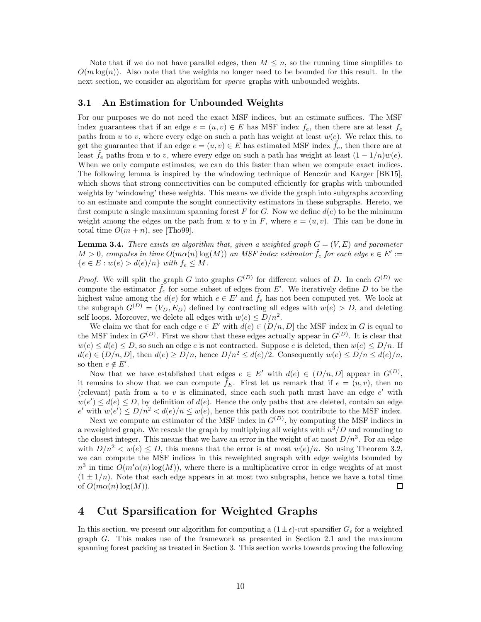Note that if we do not have parallel edges, then  $M \leq n$ , so the running time simplifies to  $O(m \log(n))$ . Also note that the weights no longer need to be bounded for this result. In the next section, we consider an algorithm for *sparse* graphs with unbounded weights.

### <span id="page-9-1"></span>3.1 An Estimation for Unbounded Weights

For our purposes we do not need the exact MSF indices, but an estimate suffices. The MSF index guarantees that if an edge  $e = (u, v) \in E$  has MSF index  $f_e$ , then there are at least  $f_e$ paths from u to v, where every edge on such a path has weight at least  $w(e)$ . We relax this, to get the guarantee that if an edge  $e = (u, v) \in E$  has estimated MSF index  $f_e$ , then there are at least  $f_e$  paths from u to v, where every edge on such a path has weight at least  $(1 - 1/n)w(e)$ . When we only compute estimates, we can do this faster than when we compute exact indices. The following lemma is inspired by the windowing technique of Benczúr and Karger [\[BK15\]](#page-25-3), which shows that strong connectivities can be computed efficiently for graphs with unbounded weights by 'windowing' these weights. This means we divide the graph into subgraphs according to an estimate and compute the sought connectivity estimators in these subgraphs. Hereto, we first compute a single maximum spanning forest F for G. Now we define  $d(e)$  to be the minimum weight among the edges on the path from u to v in F, where  $e = (u, v)$ . This can be done in total time  $O(m + n)$ , see [\[Tho99\]](#page-27-6).

<span id="page-9-2"></span>**Lemma 3.4.** *There exists an algorithm that, given a weighted graph*  $G = (V, E)$  *and parameter*  $M > 0$ , computes in time  $O(m\alpha(n)\log(M))$  *an MSF index estimator*  $\tilde{f}_e$  for each edge  $e \in E' :=$  ${e \in E : w(e) > d(e)/n}$  *with*  $f_e \leq M$ .

*Proof.* We will split the graph G into graphs  $G^{(D)}$  for different values of D. In each  $G^{(D)}$  we compute the estimator  $\tilde{f}_e$  for some subset of edges from E'. We iteratively define D to be the highest value among the  $d(e)$  for which  $e \in E'$  and  $\tilde{f}_e$  has not been computed yet. We look at the subgraph  $G^{(D)} = (V_D, E_D)$  defined by contracting all edges with  $w(e) > D$ , and deleting self loops. Moreover, we delete all edges with  $w(e) \le D/n^2$ .

We claim we that for each edge  $e \in E'$  with  $d(e) \in (D/n, D]$  the MSF index in G is equal to the MSF index in  $G^{(D)}$ . First we show that these edges actually appear in  $G^{(D)}$ . It is clear that  $w(e) \leq d(e) \leq D$ , so such an edge e is not contracted. Suppose e is deleted, then  $w(e) \leq D/n$ . If  $d(e) \in (D/n, D]$ , then  $d(e) \ge D/n$ , hence  $D/n^2 \le d(e)/2$ . Consequently  $w(e) \le D/n \le d(e)/n$ , so then  $e \notin E'$ .

Now that we have established that edges  $e \in E'$  with  $d(e) \in (D/n, D]$  appear in  $G^{(D)}$ , it remains to show that we can compute  $f_E$ . First let us remark that if  $e = (u, v)$ , then no (relevant) path from  $u$  to  $v$  is eliminated, since each such path must have an edge  $e'$  with  $w(e') \leq d(e) \leq D$ , by definition of  $d(e)$ . Hence the only paths that are deleted, contain an edge  $e'$  with  $w(e') \le D/n^2 < d(e)/n \le w(e)$ , hence this path does not contribute to the MSF index.

Next we compute an estimator of the MSF index in  $G^{(D)}$ , by computing the MSF indices in a reweighted graph. We rescale the graph by multiplying all weights with  $n^3/D$  and rounding to the closest integer. This means that we have an error in the weight of at most  $D/n^3$ . For an edge with  $D/n^2 < w(e) \le D$ , this means that the error is at most  $w(e)/n$ . So using Theorem [3.2,](#page-7-4) we can compute the MSF indices in this reweighted sugraph with edge weights bounded by  $n^3$  in time  $O(m' \alpha(n) \log(M))$ , where there is a multiplicative error in edge weights of at most  $(1 \pm 1/n)$ . Note that each edge appears in at most two subgraphs, hence we have a total time of  $O(m\alpha(n) \log(M))$ . of  $O(m\alpha(n) \log(M)).$ 

# <span id="page-9-0"></span>4 Cut Sparsification for Weighted Graphs

In this section, we present our algorithm for computing a  $(1 \pm \epsilon)$ -cut sparsifier  $G_{\epsilon}$  for a weighted graph G. This makes use of the framework as presented in Section [2.1](#page-5-0) and the maximum spanning forest packing as treated in Section [3.](#page-7-1) This section works towards proving the following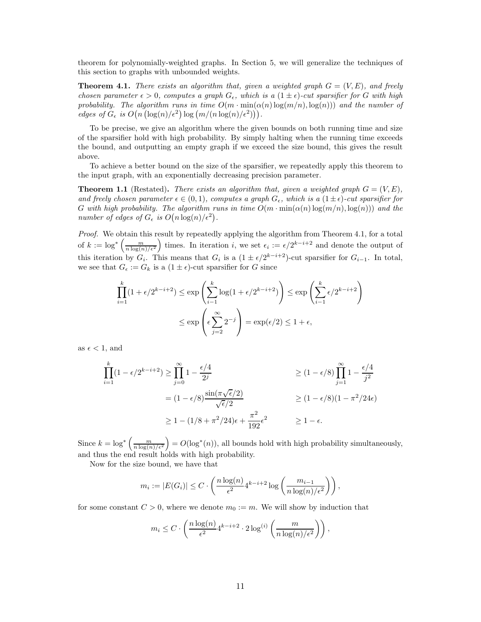theorem for polynomially-weighted graphs. In Section [5,](#page-23-0) we will generalize the techniques of this section to graphs with unbounded weights.

<span id="page-10-0"></span>**Theorem 4.1.** *There exists an algorithm that, given a weighted graph*  $G = (V, E)$ *, and freely chosen parameter*  $\epsilon > 0$ *, computes a graph*  $G_{\epsilon}$ *, which is a*  $(1 \pm \epsilon)$ *-cut sparsifier for* G *with high probability. The algorithm runs in time*  $O(m \cdot \min(\alpha(n) \log(m/n), \log(n)))$  *and the number of*  $\textit{edges of } G_{\epsilon} \textit{ is } O(n \left( \log(n) / \epsilon^2 \right) \log \left( \frac{m}{n \log(n) / \epsilon^2} \right) \right).$ 

To be precise, we give an algorithm where the given bounds on both running time and size of the sparsifier hold with high probability. By simply halting when the running time exceeds the bound, and outputting an empty graph if we exceed the size bound, this gives the result above.

To achieve a better bound on the size of the sparsifier, we repeatedly apply this theorem to the input graph, with an exponentially decreasing precision parameter.

**Theorem [1.1](#page-1-1)** (Restated). *There exists an algorithm that, given a weighted graph*  $G = (V, E)$ , *and freely chosen parameter*  $\epsilon \in (0,1)$ *, computes a graph*  $G_{\epsilon}$ *, which is a*  $(1 \pm \epsilon)$ *-cut sparsifier for* G with high probability. The algorithm runs in time  $O(m \cdot \min(\alpha(n) \log(m/n), \log(n)))$  and the *number of edges of*  $G_{\epsilon}$  *is*  $O(n \log(n)/\epsilon^2)$ .

*Proof.* We obtain this result by repeatedly applying the algorithm from Theorem [4.1,](#page-10-0) for a total of  $k := \log^* \left( \frac{m}{n \log(n) / \epsilon^2} \right)$ ) times. In iteration i, we set  $\epsilon_i := \epsilon/2^{k-i+2}$  and denote the output of this iteration by  $G_i$ . This means that  $G_i$  is a  $(1 \pm \epsilon/2^{k-i+2})$ -cut sparsifier for  $G_{i-1}$ . In total, we see that  $G_{\epsilon} := G_k$  is a  $(1 \pm \epsilon)$ -cut sparsifier for G since

$$
\prod_{i=1}^{k} (1 + \epsilon/2^{k-i+2}) \le \exp\left(\sum_{i=1}^{k} \log(1 + \epsilon/2^{k-i+2})\right) \le \exp\left(\sum_{i=1}^{k} \epsilon/2^{k-i+2}\right)
$$

$$
\le \exp\left(\epsilon \sum_{j=2}^{\infty} 2^{-j}\right) = \exp(\epsilon/2) \le 1 + \epsilon,
$$

as  $\epsilon$  < 1, and

$$
\prod_{i=1}^{k} (1 - \epsilon/2^{k-i+2}) \ge \prod_{j=0}^{\infty} 1 - \frac{\epsilon/4}{2^j}
$$
\n
$$
\ge (1 - \epsilon/8) \prod_{j=1}^{\infty} 1 - \frac{\epsilon/4}{j^2}
$$
\n
$$
\ge (1 - \epsilon/8) \prod_{j=1}^{\infty} 1 - \frac{\epsilon/4}{j^2}
$$
\n
$$
\ge (1 - \epsilon/8) (1 - \pi^2/24\epsilon)
$$
\n
$$
\ge 1 - (1/8 + \pi^2/24)\epsilon + \frac{\pi^2}{192}\epsilon^2
$$
\n
$$
\ge 1 - \epsilon.
$$

Since  $k = \log^* \left( \frac{m}{n \log(n) / \epsilon^2} \right)$  $= O(\log^*(n))$ , all bounds hold with high probability simultaneously, and thus the end result holds with high probability.

Now for the size bound, we have that

$$
m_i := |E(G_i)| \le C \cdot \left(\frac{n \log(n)}{\epsilon^2} 4^{k-i+2} \log\left(\frac{m_{i-1}}{n \log(n)/\epsilon^2}\right)\right),
$$

for some constant  $C > 0$ , where we denote  $m_0 := m$ . We will show by induction that

$$
m_i \le C \cdot \left(\frac{n \log(n)}{\epsilon^2} 4^{k-i+2} \cdot 2 \log^{(i)}\left(\frac{m}{n \log(n)/\epsilon^2}\right)\right),\,
$$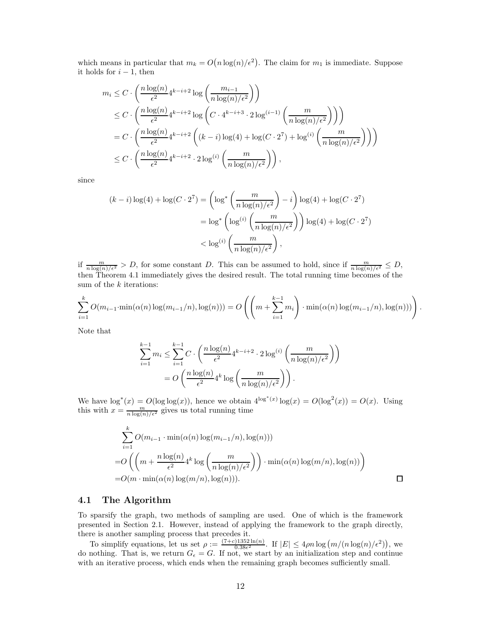which means in particular that  $m_k = O(n \log(n)/\epsilon^2)$ . The claim for  $m_1$  is immediate. Suppose it holds for  $i - 1$ , then

$$
m_i \leq C \cdot \left(\frac{n \log(n)}{\epsilon^2} 4^{k-i+2} \log\left(\frac{m_{i-1}}{n \log(n)/\epsilon^2}\right)\right)
$$
  
\n
$$
\leq C \cdot \left(\frac{n \log(n)}{\epsilon^2} 4^{k-i+2} \log\left(C \cdot 4^{k-i+3} \cdot 2 \log^{(i-1)}\left(\frac{m}{n \log(n)/\epsilon^2}\right)\right)\right)
$$
  
\n
$$
= C \cdot \left(\frac{n \log(n)}{\epsilon^2} 4^{k-i+2} \left((k-i) \log(4) + \log(C \cdot 2^7) + \log^{(i)}\left(\frac{m}{n \log(n)/\epsilon^2}\right)\right)\right)
$$
  
\n
$$
\leq C \cdot \left(\frac{n \log(n)}{\epsilon^2} 4^{k-i+2} \cdot 2 \log^{(i)}\left(\frac{m}{n \log(n)/\epsilon^2}\right)\right),
$$

since

$$
(k-i)\log(4) + \log(C \cdot 2^7) = \left(\log^*\left(\frac{m}{n\log(n)/\epsilon^2}\right) - i\right)\log(4) + \log(C \cdot 2^7)
$$

$$
= \log^*\left(\log^{(i)}\left(\frac{m}{n\log(n)/\epsilon^2}\right)\right)\log(4) + \log(C \cdot 2^7)
$$

$$
< \log^{(i)}\left(\frac{m}{n\log(n)/\epsilon^2}\right),
$$

if  $\frac{m}{n \log(n)/\epsilon^2} > D$ , for some constant D. This can be assumed to hold, since if  $\frac{m}{n \log(n)/\epsilon^2} \leq D$ , then Theorem [4.1](#page-10-0) immediately gives the desired result. The total running time becomes of the sum of the  $k$  iterations:

$$
\sum_{i=1}^{k} O(m_{i-1} \cdot \min(\alpha(n) \log(m_{i-1}/n), \log(n))) = O\left(\left(m + \sum_{i=1}^{k-1} m_i\right) \cdot \min(\alpha(n) \log(m_{i-1}/n), \log(n)))\right).
$$

Note that

$$
\sum_{i=1}^{k-1} m_i \le \sum_{i=1}^{k-1} C \cdot \left( \frac{n \log(n)}{\epsilon^2} 4^{k-i+2} \cdot 2 \log^{(i)} \left( \frac{m}{n \log(n)/\epsilon^2} \right) \right)
$$

$$
= O\left( \frac{n \log(n)}{\epsilon^2} 4^k \log \left( \frac{m}{n \log(n)/\epsilon^2} \right) \right).
$$

We have  $\log^*(x) = O(\log \log(x))$ , hence we obtain  $4^{\log^*(x)} \log(x) = O(\log^2(x)) = O(x)$ . Using this with  $x = \frac{m}{n \log(n)/\epsilon^2}$  gives us total running time

$$
\sum_{i=1}^{k} O(m_{i-1} \cdot \min(\alpha(n) \log(m_{i-1}/n), \log(n)))
$$
  
=  $O\left(\left(m + \frac{n \log(n)}{\epsilon^2} 4^k \log\left(\frac{m}{n \log(n)/\epsilon^2}\right)\right) \cdot \min(\alpha(n) \log(m/n), \log(n))\right)$   
=  $O(m \cdot \min(\alpha(n) \log(m/n), \log(n))).$ 

#### 4.1 The Algorithm

To sparsify the graph, two methods of sampling are used. One of which is the framework presented in Section [2.1.](#page-5-0) However, instead of applying the framework to the graph directly, there is another sampling process that precedes it.

To simplify equations, let us set  $\rho := \frac{(7+c)1352 \ln(n)}{0.38\epsilon^2}$  $\frac{0.1352 \ln(n)}{0.38\epsilon^2}$ . If  $|E| \leq 4\rho n \log(m/(n \log(n)/\epsilon^2))$ , we do nothing. That is, we return  $G_{\epsilon} = G$ . If not, we start by an initialization step and continue with an iterative process, which ends when the remaining graph becomes sufficiently small.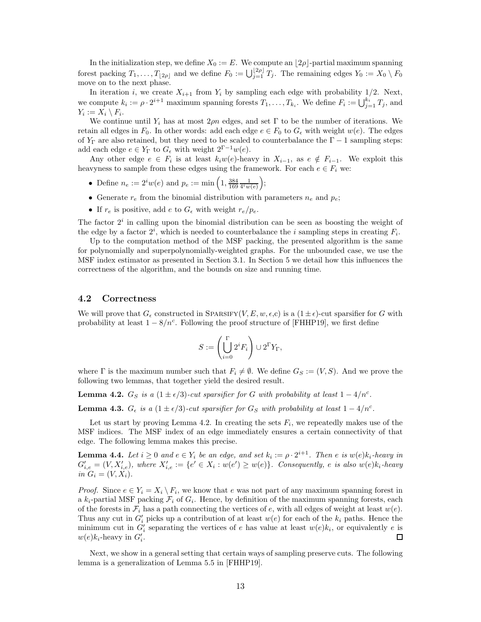In the initialization step, we define  $X_0 := E$ . We compute an  $\lfloor 2\rho \rfloor$ -partial maximum spanning forest packing  $T_1, \ldots, T_{\lfloor 2\rho \rfloor}$  and we define  $F_0 := \bigcup_{j=1}^{\lfloor 2\rho \rfloor} T_j$ . The remaining edges  $Y_0 := X_0 \setminus F_0$ move on to the next phase.

In iteration i, we create  $X_{i+1}$  from  $Y_i$  by sampling each edge with probability 1/2. Next, we compute  $k_i := \rho \cdot 2^{i+1}$  maximum spanning forests  $T_1, \ldots, T_{k_i}$ . We define  $F_i := \bigcup_{j=1}^{k_i} T_j$ , and  $Y_i := X_i \setminus F_i.$ 

We continue until  $Y_i$  has at most  $2\rho n$  edges, and set  $\Gamma$  to be the number of iterations. We retain all edges in  $F_0$ . In other words: add each edge  $e \in F_0$  to  $G_{\epsilon}$  with weight  $w(e)$ . The edges of  $Y_{\Gamma}$  are also retained, but they need to be scaled to counterbalance the  $\Gamma - 1$  sampling steps: add each edge  $e \in Y_{\Gamma}$  to  $G_{\epsilon}$  with weight  $2^{\Gamma-1}w(e)$ .

Any other edge  $e \in F_i$  is at least  $k_iw(e)$ -heavy in  $X_{i-1}$ , as  $e \notin F_{i-1}$ . We exploit this heavyness to sample from these edges using the framework. For each  $e \in F_i$  we:

- Define  $n_e := 2^i w(e)$  and  $p_e := \min\left(1, \frac{384}{169} \frac{1}{4^i w(e)}\right)$ ;
- Generate  $r_e$  from the binomial distribution with parameters  $n_e$  and  $p_e$ ;
- If  $r_e$  is positive, add  $e$  to  $G_{\epsilon}$  with weight  $r_e/p_e$ .

The factor  $2<sup>i</sup>$  in calling upon the binomial distribution can be seen as boosting the weight of the edge by a factor  $2^i$ , which is needed to counterbalance the *i* sampling steps in creating  $F_i$ .

Up to the computation method of the MSF packing, the presented algorithm is the same for polynomially and superpolynomially-weighted graphs. For the unbounded case, we use the MSF index estimator as presented in Section [3.1.](#page-9-1) In Section [5](#page-23-0) we detail how this influences the correctness of the algorithm, and the bounds on size and running time.

#### 4.2 Correctness

We will prove that  $G_{\epsilon}$  constructed in SPARSIFY(V, E,  $w, \epsilon, c$ ) is a  $(1 \pm \epsilon)$ -cut sparsifier for G with probability at least  $1 - 8/n^c$ . Following the proof structure of [\[FHHP19\]](#page-26-2), we first define

$$
S:=\left(\bigcup_{i=0}^\Gamma 2^iF_i\right)\cup 2^\Gamma Y_\Gamma,
$$

where  $\Gamma$  is the maximum number such that  $F_i \neq \emptyset$ . We define  $G_S := (V, S)$ . And we prove the following two lemmas, that together yield the desired result.

<span id="page-12-0"></span>**Lemma 4.2.**  $G_S$  *is a*  $(1 \pm \epsilon/3)$ *-cut sparsifier for* G *with probability at least*  $1 - 4/n^c$ *.* 

<span id="page-12-1"></span>**Lemma 4.3.**  $G_{\epsilon}$  *is a* (1 ±  $\epsilon/3$ )-cut sparsifier for  $G_S$  with probability at least 1 – 4/n<sup>c</sup>.

Let us start by proving Lemma [4.2.](#page-12-0) In creating the sets  $F_i$ , we repeatedly makes use of the MSF indices. The MSF index of an edge immediately ensures a certain connectivity of that edge. The following lemma makes this precise.

<span id="page-12-2"></span>**Lemma 4.4.** Let  $i \geq 0$  and  $e \in Y_i$  be an edge, and set  $k_i := \rho \cdot 2^{i+1}$ . Then e is  $w(e)k_i$ -heavy in  $G'_{i,e} = (V, X'_{i,e}),$  where  $X'_{i,e} := \{e' \in X_i : w(e') \geq w(e)\}.$  Consequently, e is also  $w(e)k_i$ -heavy *in*  $G_i = (V, X_i)$ .

*Proof.* Since  $e \in Y_i = X_i \setminus F_i$ , we know that e was not part of any maximum spanning forest in a  $k_i$ -partial MSF packing  $\mathcal{F}_i$  of  $G_i$ . Hence, by definition of the maximum spanning forests, each of the forests in  $\mathcal{F}_i$  has a path connecting the vertices of e, with all edges of weight at least  $w(e)$ . Thus any cut in  $G'_{i}$  picks up a contribution of at least  $w(e)$  for each of the  $k_{i}$  paths. Hence the minimum cut in  $G'_{i}$  separating the vertices of e has value at least  $w(e)k_{i}$ , or equivalently e is  $w(e)k_i$ -heavy in  $G'_i$ .  $\Box$ 

Next, we show in a general setting that certain ways of sampling preserve cuts. The following lemma is a generalization of Lemma 5.5 in [\[FHHP19\]](#page-26-2).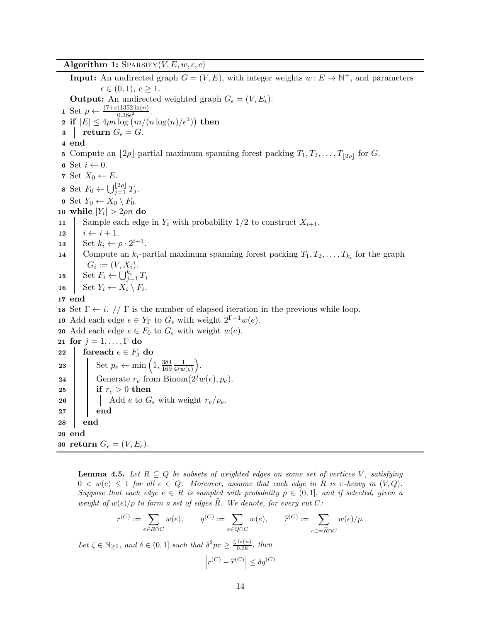<span id="page-13-1"></span>**Algorithm 1:** SPARSIFY( $V, E, w, \epsilon, c$ )

**Input:** An undirected graph  $G = (V, E)$ , with integer weights  $w \colon E \to \mathbb{N}^+$ , and parameters  $\epsilon \in (0,1), c \geq 1.$ **Output:** An undirected weighted graph  $G_{\epsilon} = (V, E_{\epsilon})$ . 1 Set  $\rho \leftarrow \frac{(7+c)1352 \ln(n)}{0.38 \epsilon^2}$ . 2 if  $|E| \leq 4\rho n \log(m/(n \log(n)/\epsilon^2))$  then  $3$  return  $G_{\epsilon} = G$ . 4 end 5 Compute an  $\lfloor 2\rho \rfloor$ -partial maximum spanning forest packing  $T_1, T_2, \ldots, T_{\lfloor 2\rho \rfloor}$  for G. 6 Set  $i \leftarrow 0$ . 7 Set  $X_0 \leftarrow E$ . 8 Set  $F_0 \leftarrow \bigcup_{j=1}^{\lfloor 2\rho \rfloor} T_j$ . 9 Set  $Y_0 \leftarrow X_0 \setminus F_0$ . 10 while  $|Y_i| > 2\rho n$  do 11 Sample each edge in  $Y_i$  with probability  $1/2$  to construct  $X_{i+1}$ . 12  $i \leftarrow i + 1.$ <br>13 Set  $k_i \leftarrow i$ 13 Set  $k_i \leftarrow \rho \cdot 2^{i+1}$ . 14 Compute an  $k_i$ -partial maximum spanning forest packing  $T_1, T_2, \ldots, T_{k_i}$  for the graph  $G_i := (V, X_i).$ 15 Set  $F_i \leftarrow \bigcup_{j=1}^{k_i} T_j$ 16 Set  $Y_i \leftarrow X_i \setminus F_i$ . 17 end 18 Set  $\Gamma \leftarrow i$ . //  $\Gamma$  is the number of elapsed iteration in the previous while-loop. 19 Add each edge  $e \in Y_{\Gamma}$  to  $G_{\epsilon}$  with weight  $2^{\Gamma-1}w(e)$ . 20 Add each edge  $e \in F_0$  to  $G_{\epsilon}$  with weight  $w(e)$ . 21 for  $j = 1, \ldots, \Gamma$  do 22 foreach  $e \in F_i$  do 23 Set  $p_e \leftarrow \min\left(1, \frac{384}{169}\right)$ 169 1  $4^j w(e)$  . 24 Generate  $r_e$  from Binom $(2^j w(e), p_e)$ . 25 if  $r_e > 0$  then 26  $\Box$  Add e to  $G_{\epsilon}$  with weight  $r_e/p_e$ .  $27$  end 28 end 29 end 30 return  $G_{\epsilon} = (V, E_{\epsilon})$ .

<span id="page-13-0"></span>**Lemma 4.5.** Let  $R \subseteq Q$  be subsets of weighted edges on some set of vertices V, satisfying  $0 < w(e) \leq 1$  *for all*  $e \in Q$ *. Moreover, assume that each edge in* R *is*  $\pi$ *-heavy in*  $(V, Q)$ *. Suppose that each edge*  $e \in R$  *is sampled with probability*  $p \in (0,1]$ *, and if selected, given a weight of*  $w(e)/p$  *to form a set of edges*  $\widehat{R}$ *. We denote, for every cut*  $C$ *:* 

$$
r^{(C)} := \sum_{e \in R \cap C} w(e), \qquad q^{(C)} := \sum_{e \in Q \cap C} w(e), \qquad \widehat{r}^{(C)} := \sum_{e \in \widehat{R} \cap C} w(e)/p.
$$

Let  $\zeta \in \mathbb{N}_{\geq 5}$ , and  $\delta \in (0,1]$  *such that*  $\delta^2 p \pi \geq \frac{\zeta \ln(n)}{0.38}$ , *then* 

$$
\left|r^{(C)} - \widehat{r}^{(C)}\right| \leq \delta q^{(C)}
$$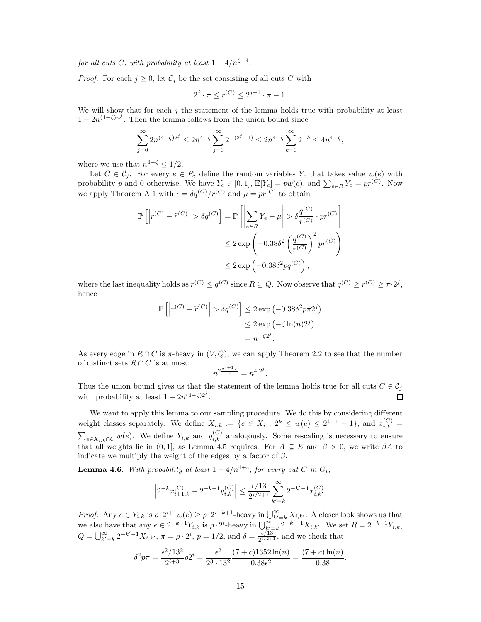*for all cuts*  $C$ *, with probability at least*  $1 - 4/n^{\zeta - 4}$ *.* 

*Proof.* For each  $j \geq 0$ , let  $C_j$  be the set consisting of all cuts C with

$$
2^{j} \cdot \pi \le r^{(C)} \le 2^{j+1} \cdot \pi - 1.
$$

We will show that for each  $j$  the statement of the lemma holds true with probability at least  $1 - 2n^{(4-\zeta)n^j}$ . Then the lemma follows from the union bound since

$$
\sum_{j=0}^{\infty} 2n^{(4-\zeta)2^j} \le 2n^{4-\zeta} \sum_{j=0}^{\infty} 2^{-(2^j-1)} \le 2n^{4-\zeta} \sum_{k=0}^{\infty} 2^{-k} \le 4n^{4-\zeta},
$$

where we use that  $n^{4-\zeta} \leq 1/2$ .

Let  $C \in \mathcal{C}_j$ . For every  $e \in R$ , define the random variables  $Y_e$  that takes value  $w(e)$  with probability p and 0 otherwise. We have  $Y_e \in [0,1]$ ,  $\mathbb{E}[Y_e] = pw(e)$ , and  $\sum_{e \in R} Y_e = pr^{(C)}$ . Now we apply Theorem [A.1](#page-27-7) with  $\epsilon = \delta q^{(C)}/r^{(C)}$  and  $\mu = pr^{(C)}$  to obtain

$$
\mathbb{P}\left[\left|r^{(C)} - \hat{r}^{(C)}\right| > \delta q^{(C)}\right] = \mathbb{P}\left[\left|\sum_{e \in R} Y_e - \mu\right| > \delta \frac{q^{(C)}}{r^{(C)}} \cdot pr^{(C)}\right]
$$
  

$$
\leq 2 \exp\left(-0.38\delta^2 \left(\frac{q^{(C)}}{r^{(C)}}\right)^2 pr^{(C)}\right)
$$
  

$$
\leq 2 \exp\left(-0.38\delta^2 pq^{(C)}\right),
$$

where the last inequality holds as  $r^{(C)} \leq q^{(C)}$  since  $R \subseteq Q$ . Now observe that  $q^{(C)} \geq r^{(C)} \geq \pi \cdot 2^j$ , hence

$$
\mathbb{P}\left[\left|r^{(C)} - \hat{r}^{(C)}\right| > \delta q^{(C)}\right] \le 2 \exp\left(-0.38\delta^2 p \pi 2^j\right)
$$

$$
\le 2 \exp\left(-\zeta \ln(n)2^j\right)
$$

$$
= n^{-\zeta 2^j}.
$$

As every edge in  $R \cap C$  is  $\pi$ -heavy in  $(V, Q)$ , we can apply Theorem [2.2](#page-5-1) to see that the number of distinct sets  $R \cap C$  is at most:

$$
n^{2\frac{2^{j+1}\pi}{\pi}} = n^{4\cdot 2^j}.
$$

Thus the union bound gives us that the statement of the lemma holds true for all cuts  $C \in \mathcal{C}_i$ with probability at least  $1 - 2n^{(4-\zeta)2^j}$ . п

We want to apply this lemma to our sampling procedure. We do this by considering different weight classes separately. We define  $X_{i,k} := \{e \in X_i : 2^k \leq w(e) \leq 2^{k+1} - 1\}$ , and  $x_{i,k}^{(C)} =$  $\sum_{e \in X_{i,k} \cap C} w(e)$ . We define  $Y_{i,k}$  and  $y_{i,k}^{(C)}$  analogously. Some rescaling is necessary to ensure that all weights lie in (0, 1], as Lemma [4.5](#page-13-0) requires. For  $A \subseteq E$  and  $\beta > 0$ , we write  $\beta A$  to indicate we multiply the weight of the edges by a factor of  $\beta$ .

<span id="page-14-0"></span>**Lemma 4.6.** With probability at least  $1 - 4/n^{4+c}$ , for every cut C in  $G_i$ ,

$$
\left|2^{-k}x_{i+1,k}^{(C)}-2^{-k-1}y_{i,k}^{(C)}\right|\leq \frac{\epsilon/13}{2^{i/2+1}}\sum_{k'=k}^{\infty}2^{-k'-1}x_{i,k'}^{(C)}.
$$

*Proof.* Any  $e \in Y_{i,k}$  is  $\rho \cdot 2^{i+1}w(e) \ge \rho \cdot 2^{i+k+1}$ -heavy in  $\bigcup_{k'=k}^{\infty} X_{i,k'}$ . A closer look shows us that we also have that any  $e \in 2^{-k-1}Y_{i,k}$  is  $\rho \cdot 2^{i}$ -heavy in  $\bigcup_{k'=k}^{\infty} 2^{-k'-1}X_{i,k'}$ . We set  $R = 2^{-k-1}Y_{i,k}$ ,  $Q = \bigcup_{k'=k}^{\infty} 2^{-k'-1} X_{i,k'}$ ,  $\pi = \rho \cdot 2^i$ ,  $p = 1/2$ , and  $\delta = \frac{\epsilon \hat{i} 13}{2^{i/2+1}}$  $\frac{\epsilon/15}{2^{i/2+1}}$ , and we check that

$$
\delta^2 p \pi = \frac{\epsilon^2 / 13^2}{2^{i+3}} \rho 2^i = \frac{\epsilon^2}{2^3 \cdot 13^2} \frac{(7+c)1352 \ln(n)}{0.38 \epsilon^2} = \frac{(7+c) \ln(n)}{0.38}.
$$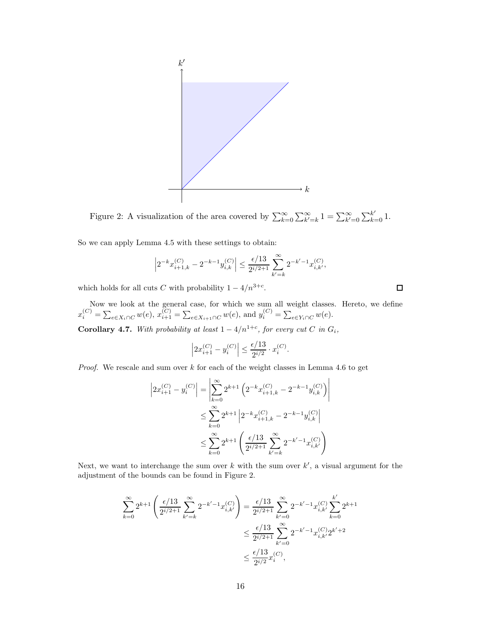<span id="page-15-0"></span>

Figure 2: A visualization of the area covered by  $\sum_{k=0}^{\infty} \sum_{k'=k}^{\infty} 1 = \sum_{k'=0}^{\infty} \sum_{k=0}^{k'} 1$ .

So we can apply Lemma [4.5](#page-13-0) with these settings to obtain:

$$
\left|2^{-k}x_{i+1,k}^{(C)}-2^{-k-1}y_{i,k}^{(C)}\right| \le \frac{\epsilon/13}{2^{i/2+1}}\sum_{k'=k}^{\infty}2^{-k'-1}x_{i,k'}^{(C)},
$$

which holds for all cuts C with probability  $1 - 4/n^{3+c}$ .

Now we look at the general case, for which we sum all weight classes. Hereto, we define  $x_i^{(C)} = \sum_{e \in X_i \cap C} w(e), x_{i+1}^{(C)} = \sum_{e \in X_{i+1} \cap C} w(e),$  and  $y_i^{(C)} = \sum_{e \in Y_i \cap C} w(e).$ 

<span id="page-15-1"></span>**Corollary 4.7.** With probability at least  $1 - 4/n^{1+c}$ , for every cut C in  $G_i$ ,

$$
\left| 2x_{i+1}^{(C)} - y_i^{(C)} \right| \le \frac{\epsilon/13}{2^{i/2}} \cdot x_i^{(C)}.
$$

*Proof.* We rescale and sum over k for each of the weight classes in Lemma [4.6](#page-14-0) to get

$$
\left| 2x_{i+1}^{(C)} - y_i^{(C)} \right| = \left| \sum_{k=0}^{\infty} 2^{k+1} \left( 2^{-k} x_{i+1,k}^{(C)} - 2^{-k-1} y_{i,k}^{(C)} \right) \right|
$$
  

$$
\leq \sum_{k=0}^{\infty} 2^{k+1} \left| 2^{-k} x_{i+1,k}^{(C)} - 2^{-k-1} y_{i,k}^{(C)} \right|
$$
  

$$
\leq \sum_{k=0}^{\infty} 2^{k+1} \left( \frac{\epsilon/13}{2^{i/2+1}} \sum_{k'=k}^{\infty} 2^{-k'-1} x_{i,k'}^{(C)} \right)
$$

Next, we want to interchange the sum over  $k$  with the sum over  $k'$ , a visual argument for the adjustment of the bounds can be found in Figure [2.](#page-15-0)

$$
\sum_{k=0}^{\infty} 2^{k+1} \left( \frac{\epsilon/13}{2^{i/2+1}} \sum_{k'=k}^{\infty} 2^{-k'-1} x_{i,k'}^{(C)} \right) = \frac{\epsilon/13}{2^{i/2+1}} \sum_{k'=0}^{\infty} 2^{-k'-1} x_{i,k'}^{(C)} \sum_{k=0}^{k'} 2^{k+1}
$$
  

$$
\leq \frac{\epsilon/13}{2^{i/2+1}} \sum_{k'=0}^{\infty} 2^{-k'-1} x_{i,k'}^{(C)} 2^{k'+2}
$$
  

$$
\leq \frac{\epsilon/13}{2^{i/2}} x_i^{(C)},
$$

 $\Box$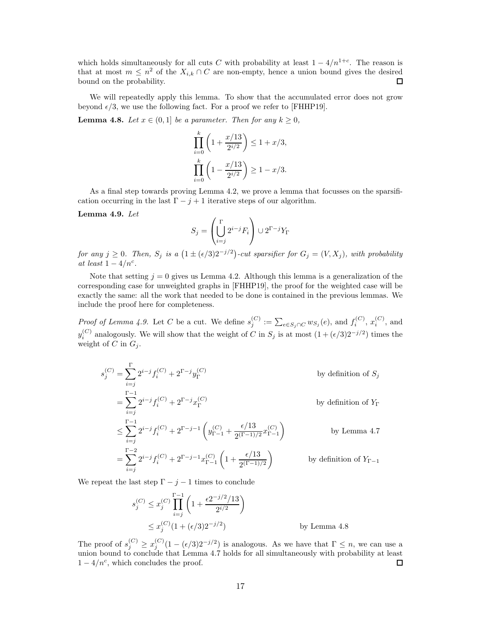which holds simultaneously for all cuts C with probability at least  $1 - 4/n^{1+c}$ . The reason is that at most  $m \leq n^2$  of the  $X_{i,k} \cap C$  are non-empty, hence a union bound gives the desired bound on the probability.

We will repeatedly apply this lemma. To show that the accumulated error does not grow beyond  $\epsilon/3$ , we use the following fact. For a proof we refer to [\[FHHP19\]](#page-26-2).

<span id="page-16-1"></span>**Lemma 4.8.** *Let*  $x \in (0,1]$  *be a parameter. Then for any*  $k \geq 0$ *,* 

$$
\prod_{i=0}^{k} \left( 1 + \frac{x/13}{2^{i/2}} \right) \le 1 + x/3,
$$
  

$$
\prod_{i=0}^{k} \left( 1 - \frac{x/13}{2^{i/2}} \right) \ge 1 - x/3.
$$

As a final step towards proving Lemma [4.2,](#page-12-0) we prove a lemma that focusses on the sparsification occurring in the last  $\Gamma - j + 1$  iterative steps of our algorithm.

<span id="page-16-0"></span>Lemma 4.9. *Let*

$$
S_j = \left(\bigcup_{i=j}^{\Gamma} 2^{i-j} F_i\right) \cup 2^{\Gamma-j} Y_{\Gamma}
$$

 $for any j \geq 0$ . Then,  $S_j$  is a  $(1 \pm (\epsilon/3)2^{-j/2})$ -cut sparsifier for  $G_j = (V, X_j)$ , with probability *at least*  $1 - 4/n^c$ .

Note that setting  $j = 0$  gives us Lemma [4.2.](#page-12-0) Although this lemma is a generalization of the corresponding case for unweighted graphs in [\[FHHP19\]](#page-26-2), the proof for the weighted case will be exactly the same: all the work that needed to be done is contained in the previous lemmas. We include the proof here for completeness.

*Proof of Lemma [4.9.](#page-16-0)* Let C be a cut. We define  $s_i^{(C)}$  $j^{(C)} := \sum_{e \in S_j \cap C} w_{S_j}(e)$ , and  $f_i^{(C)}$  $x_i^{(C)}, x_i^{(C)}$  $i^{\circ}$ , and  $y_i^{(C)}$  analogously. We will show that the weight of C in  $S_j$  is at most  $(1 + (\epsilon/3)2^{-j/2})$  times the weight of C in  $G_i$ .

$$
s_j^{(C)} = \sum_{i=j}^{\Gamma} 2^{i-j} f_i^{(C)} + 2^{\Gamma - j} y_{\Gamma}^{(C)}
$$
 by definition of  $S_j$   
\n
$$
= \sum_{i=j}^{\Gamma - 1} 2^{i-j} f_i^{(C)} + 2^{\Gamma - j} x_{\Gamma}^{(C)}
$$
 by definition of  $Y_{\Gamma}$   
\n
$$
\leq \sum_{i=j}^{\Gamma - 1} 2^{i-j} f_i^{(C)} + 2^{\Gamma - j - 1} \left( y_{\Gamma - 1}^{(C)} + \frac{\epsilon / 13}{2^{(\Gamma - 1)/2}} x_{\Gamma - 1}^{(C)} \right)
$$
 by Lemma 4.7  
\n
$$
= \sum_{i=j}^{\Gamma - 2} 2^{i-j} f_i^{(C)} + 2^{\Gamma - j - 1} x_{\Gamma - 1}^{(C)} \left( 1 + \frac{\epsilon / 13}{2^{(\Gamma - 1)/2}} \right)
$$
 by definition of  $Y_{\Gamma - 1}$ 

We repeat the last step  $\Gamma - j - 1$  times to conclude

$$
s_j^{(C)} \le x_j^{(C)} \prod_{i=j}^{\Gamma-1} \left( 1 + \frac{\epsilon 2^{-j/2}/13}{2^{i/2}} \right)
$$
  
 
$$
\le x_j^{(C)} (1 + (\epsilon/3)2^{-j/2})
$$
 by Lemma 4.8

The proof of  $s_j^{(C)} \ge x_j^{(C)}(1-(\epsilon/3)2^{-j/2})$  is analogous. As we have that  $\Gamma \le n$ , we can use a union bound to conclude that Lemma [4.7](#page-15-1) holds for all simultaneously with probability at least  $1 - 4/n^c$ , which concludes the proof.  $\Box$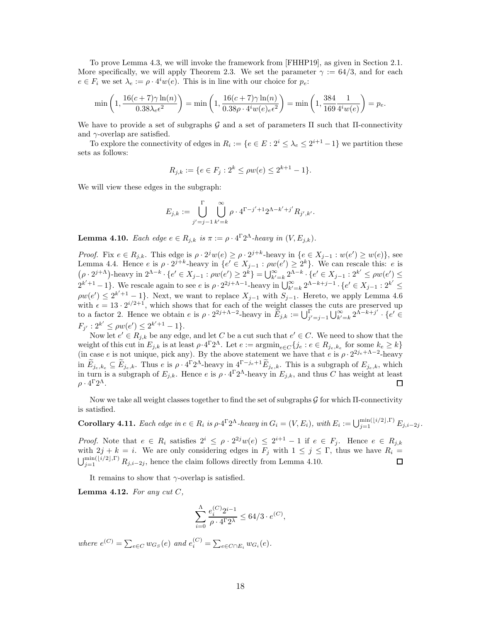To prove Lemma [4.3,](#page-12-1) we will invoke the framework from [\[FHHP19\]](#page-26-2), as given in Section [2.1.](#page-5-0) More specifically, we will apply Theorem [2.3.](#page-6-2) We set the parameter  $\gamma := 64/3$ , and for each  $e \in F_i$  we set  $\lambda_e := \rho \cdot 4^i w(e)$ . This is in line with our choice for  $p_e$ :

$$
\min\left(1, \frac{16(c+7)\gamma \ln(n)}{0.38\lambda_e \epsilon^2}\right) = \min\left(1, \frac{16(c+7)\gamma \ln(n)}{0.38\rho \cdot 4^i w(e)_e \epsilon^2}\right) = \min\left(1, \frac{384}{169} \frac{1}{4^i w(e)}\right) = p_e.
$$

We have to provide a set of subgraphs  $\mathcal G$  and a set of parameters  $\Pi$  such that  $\Pi$ -connectivity and  $\gamma$ -overlap are satisfied.

To explore the connectivity of edges in  $R_i := \{e \in E : 2^i \leq \lambda_e \leq 2^{i+1} - 1\}$  we partition these sets as follows:

$$
R_{j,k} := \{ e \in F_j : 2^k \le \rho w(e) \le 2^{k+1} - 1 \}.
$$

We will view these edges in the subgraph:

$$
E_{j,k}:=\bigcup_{j'=j-1}^{\Gamma}\bigcup_{k'=k}^{\infty}\rho\cdot 4^{\Gamma-j'+1}2^{\Lambda-k'+j'}R_{j',k'}.
$$

<span id="page-17-0"></span>**Lemma 4.10.** *Each edge*  $e \in R_{j,k}$  *is*  $\pi := \rho \cdot 4^{\Gamma} 2^{\Lambda}$ -heavy *in*  $(V, E_{j,k})$ *.* 

*Proof.* Fix  $e \in R_{j,k}$ . This edge is  $\rho \cdot 2^{j}w(e) \geq \rho \cdot 2^{j+k}$ -heavy in  $\{e \in X_{j-1} : w(e') \geq w(e)\}$ , see Lemma [4.4.](#page-12-2) Hence *e* is *ρ* · 2<sup>*j*+*k*</sup>-heavy in {*e'* ∈ *X<sub>j-1</sub>* : *ρw*(*e'*) ≥ 2<sup>*k*</sup>}. We can rescale this: *e* is  $(\rho \cdot 2^{j+\Lambda})$ -heavy in 2<sup>Λ-*k*</sup> · {*e'* ∈ *X<sub>j-1</sub>* : *pw*(*e'*) ≤  $2^{k}$ } =  $\bigcup_{k'=k}^{\infty} 2^{A-k} \cdot \{$  $2^{k'+1}-1$ . We rescale again to see e is  $\rho \cdot 2^{2j+\Lambda-1}$ -heavy in  $\bigcup_{k'=k}^{\infty} 2^{\Lambda-k+j-1} \cdot \{e' \in X_{j-1} : 2^{k'} \leq 2^{k'}\}$  $\rho w(e') \leq 2^{k'+1}-1$ . Next, we want to replace  $X_{j-1}$  with  $S_{j-1}$ . Hereto, we apply Lemma [4.6](#page-14-0) with  $\epsilon = 13 \cdot 2^{i/2+1}$ , which shows that for each of the weight classes the cuts are preserved up to a factor 2. Hence we obtain  $e$  is  $\rho \cdot 2^{2j+\Lambda-2}$ -heavy in  $E_{j,k} := \bigcup_{j'=j-1}^{\infty} \bigcup_{k'=k}^{\infty} 2^{\Lambda-k+j'} \cdot \{e' \in$  $F_{j'}$ :  $2^{k'} \le \rho w(e') \le 2^{k'+1} - 1$ .

Now let  $e' \in R_{j,k}$  be any edge, and let C be a cut such that  $e' \in C$ . We need to show that the weight of this cut in  $E_{j,k}$  is at least  $\rho \cdot 4^{\Gamma} 2^{\Lambda}$ . Let  $e := \operatorname{argmin}_{e \in C} \{ j_e : e \in R_{j_e, k_e} \text{ for some } k_e \geq k \}$ (in case e is not unique, pick any). By the above statement we have that e is  $\rho \cdot 2^{2j_e+\Lambda-2}$ -heavy in  $E_{j_e,k_e} \subseteq E_{j_e,k}$ . Thus  $e$  is  $\rho \cdot 4^{\Gamma} 2^{\Lambda}$ -heavy in  $4^{\Gamma-j_e+1} E_{j_e,k}$ . This is a subgraph of  $E_{j_e,k}$ , which in turn is a subgraph of  $E_{j,k}$ . Hence e is  $\rho \cdot 4^{\Gamma} 2^{\Lambda}$ -heavy in  $E_{j,k}$ , and thus C has weight at least  $ρ · 4<sup>Γ</sup>2<sup>Λ</sup>$ . 口

Now we take all weight classes together to find the set of subgraphs  $\mathcal G$  for which  $\Pi$ -connectivity is satisfied.

<span id="page-17-1"></span>Corollary 4.11. *Each edge in e*  $\in R_i$  *is*  $\rho \cdot 4^{\Gamma} 2^{\Lambda}$ -heavy in  $G_i = (V, E_i)$ , with  $E_i := \bigcup_{j=1}^{\min(\lfloor i/2 \rfloor, \Gamma)} E_{j, i-2j}$ .

*Proof.* Note that  $e \in R_i$  satisfies  $2^i \le \rho \cdot 2^{2j}w(e) \le 2^{i+1} - 1$  if  $e \in F_j$ . Hence  $e \in R_{j,k}$ with  $2j + k = i$ . We are only considering edges in  $F_j$  with  $1 \leq j \leq \Gamma$ , thus we have  $R_i =$  $\bigcup_{j=1}^{\min\left(\lfloor i/2 \rfloor,\Gamma\right)} R_{j,i-2j}$ , hence the claim follows directly from Lemma [4.10.](#page-17-0) П

It remains to show that  $\gamma$ -overlap is satisfied.

<span id="page-17-2"></span>Lemma 4.12. *For any cut* C*,*

$$
\sum_{i=0}^{\Lambda} \frac{e_i^{(C)} 2^{i-1}}{\rho \cdot 4^\Gamma 2^\lambda} \leq 64/3 \cdot e^{(C)},
$$

*where*  $e^{(C)} = \sum_{e \in C} w_{G_S}(e)$  *and*  $e_i^{(C)} = \sum_{e \in C \cap E_i} w_{G_i}(e)$ *.*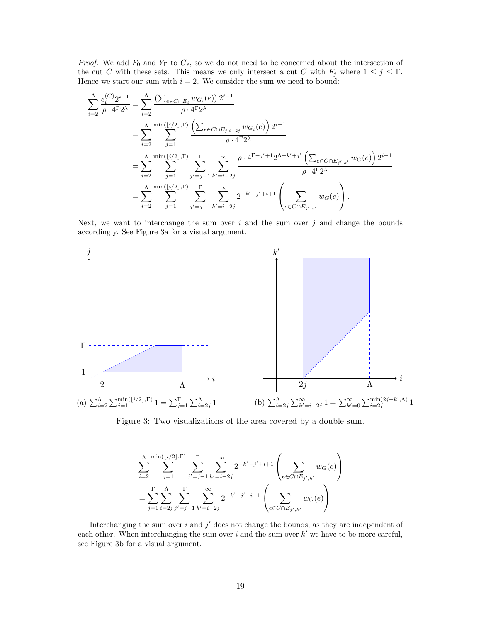*Proof.* We add  $F_0$  and  $Y_\Gamma$  to  $G_\epsilon$ , so we do not need to be concerned about the intersection of the cut C with these sets. This means we only intersect a cut C with  $F_j$  where  $1 \leq j \leq \Gamma$ . Hence we start our sum with  $i = 2$ . We consider the sum we need to bound:

$$
\sum_{i=2}^{\Lambda} \frac{e_i^{(C)} 2^{i-1}}{\rho \cdot 4^{\Gamma} 2^{\lambda}} = \sum_{i=2}^{\Lambda} \frac{\left(\sum_{e \in C \cap E_i} w_{G_i}(e)\right) 2^{i-1}}{\rho \cdot 4^{\Gamma} 2^{\lambda}} \\
= \sum_{i=2}^{\Lambda} \sum_{j=1}^{\min(\lfloor i/2 \rfloor, \Gamma)} \frac{\left(\sum_{e \in C \cap E_{j,i-2j}} w_{G_i}(e)\right) 2^{i-1}}{\rho \cdot 4^{\Gamma} 2^{\lambda}} \\
= \sum_{i=2}^{\Lambda} \sum_{j=1}^{\min(\lfloor i/2 \rfloor, \Gamma)} \sum_{j'=j-1}^{\Gamma} \sum_{k'=i-2j}^{\infty} \frac{\rho \cdot 4^{\Gamma-j'+1} 2^{\Lambda-k'+j'} \left(\sum_{e \in C \cap E_{j',k'}} w_G(e)\right) 2^{i-1}}{\rho \cdot 4^{\Gamma} 2^{\lambda}} \\
= \sum_{i=2}^{\Lambda} \sum_{j=1}^{\min(\lfloor i/2 \rfloor, \Gamma)} \sum_{j'=j-1}^{\Gamma} \sum_{k'=i-2j}^{\infty} 2^{-k'-j'+i+1} \left(\sum_{e \in C \cap E_{j',k'}} w_G(e)\right).
$$

Next, we want to interchange the sum over  $i$  and the sum over  $j$  and change the bounds accordingly. See Figure [3a](#page-18-0) for a visual argument.

<span id="page-18-0"></span>

Figure 3: Two visualizations of the area covered by a double sum.

$$
\sum_{i=2}^{\Lambda} \sum_{j=1}^{\min\left(\lfloor i/2 \rfloor, \Gamma\right)} \sum_{j'=j-1}^{\Gamma} \sum_{k'=i-2j}^{\infty} 2^{-k'-j'+i+1} \left( \sum_{e \in C \cap E_{j',k'}} w_G(e) \right)
$$
  
= 
$$
\sum_{j=1}^{\Gamma} \sum_{i=2j}^{\Lambda} \sum_{j'=j-1}^{\Gamma} \sum_{k'=i-2j}^{\infty} 2^{-k'-j'+i+1} \left( \sum_{e \in C \cap E_{j',k'}} w_G(e) \right)
$$

Interchanging the sum over  $i$  and  $j'$  does not change the bounds, as they are independent of each other. When interchanging the sum over  $i$  and the sum over  $k'$  we have to be more careful, see Figure [3b](#page-18-0) for a visual argument.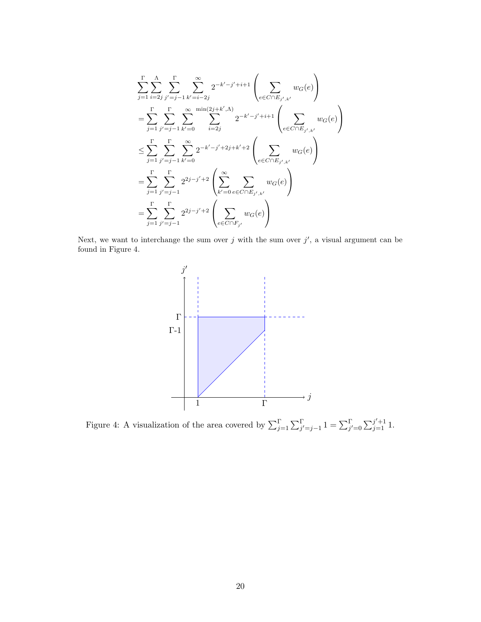$$
\sum_{j=1}^{\Gamma} \sum_{i=2j}^{\Lambda} \sum_{j'=j-1}^{\Gamma} \sum_{k'=i-2j}^{\infty} 2^{-k'-j'+i+1} \left( \sum_{e \in C \cap E_{j',k'}} w_G(e) \right)
$$
\n
$$
= \sum_{j=1}^{\Gamma} \sum_{j'=j-1}^{\Gamma} \sum_{k'=0}^{\infty} \sum_{i=2j}^{\min(2j+k',\Lambda)} 2^{-k'-j'+i+1} \left( \sum_{e \in C \cap E_{j',k'}} w_G(e) \right)
$$
\n
$$
\leq \sum_{j=1}^{\Gamma} \sum_{j'=j-1}^{\Gamma} \sum_{k'=0}^{\infty} 2^{-k'-j'+2j+k'+2} \left( \sum_{e \in C \cap E_{j',k'}} w_G(e) \right)
$$
\n
$$
= \sum_{j=1}^{\Gamma} \sum_{j'=j-1}^{\Gamma} 2^{2j-j'+2} \left( \sum_{k'=0}^{\infty} \sum_{e \in C \cap E_{j',k'}} w_G(e) \right)
$$
\n
$$
= \sum_{j=1}^{\Gamma} \sum_{j'=j-1}^{\Gamma} 2^{2j-j'+2} \left( \sum_{e \in C \cap F_{j'}} w_G(e) \right)
$$

<span id="page-19-0"></span>Next, we want to interchange the sum over j with the sum over  $j'$ , a visual argument can be found in Figure [4.](#page-19-0)



Figure 4: A visualization of the area covered by  $\sum_{j=1}^{\Gamma} \sum_{j'=j-1}^{\Gamma} 1 = \sum_{j'=0}^{\Gamma} \sum_{j=1}^{j'+1} 1$ .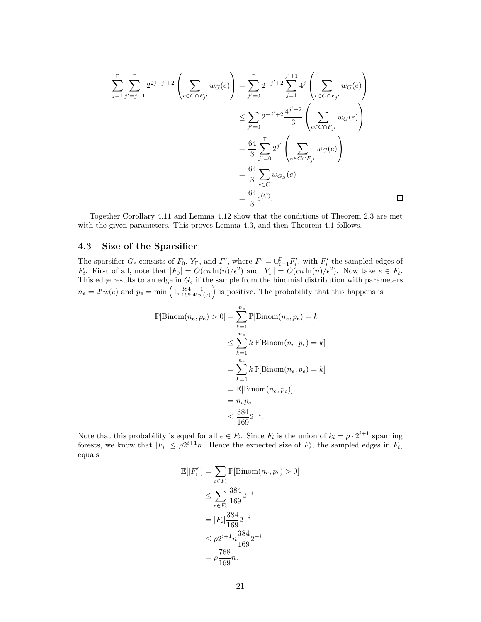$$
\sum_{j=1}^{\Gamma} \sum_{j'=j-1}^{\Gamma} 2^{2j-j'+2} \left( \sum_{e \in C \cap F_{j'}} w_G(e) \right) = \sum_{j'=0}^{\Gamma} 2^{-j'+2} \sum_{j=1}^{j'+1} 4^j \left( \sum_{e \in C \cap F_{j'}} w_G(e) \right)
$$
  

$$
\leq \sum_{j'=0}^{\Gamma} 2^{-j'+2} \frac{4^{j'+2}}{3} \left( \sum_{e \in C \cap F_{j'}} w_G(e) \right)
$$
  

$$
= \frac{64}{3} \sum_{j'=0}^{\Gamma} 2^{j'} \left( \sum_{e \in C \cap F_{j'}} w_G(e) \right)
$$
  

$$
= \frac{64}{3} \sum_{e \in C} w_{G_S}(e)
$$
  

$$
= \frac{64}{3} e^{(C)}.
$$

Together Corollary [4.11](#page-17-1) and Lemma [4.12](#page-17-2) show that the conditions of Theorem [2.3](#page-6-2) are met with the given parameters. This proves Lemma [4.3,](#page-12-1) and then Theorem [4.1](#page-10-0) follows.

### <span id="page-20-0"></span>4.3 Size of the Sparsifier

The sparsifier  $G_{\epsilon}$  consists of  $F_0$ ,  $Y_{\Gamma}$ , and  $F'$ , where  $F' = \bigcup_{i=1}^{\Gamma} F'_i$ , with  $F'_i$  the sampled edges of  $F_i$ . First of all, note that  $|F_0| = O(cn \ln(n)/\epsilon^2)$  and  $|Y_{\Gamma}| = O(cn \ln(n)/\epsilon^2)$ . Now take  $e \in F_i$ . This edge results to an edge in  $G_{\epsilon}$  if the sample from the binomial distribution with parameters  $n_e = 2^i w(e)$  and  $p_e = \min\left(1, \frac{384}{169} \frac{1}{4^i w(e)}\right)$ is positive. The probability that this happens is

$$
\mathbb{P}[\text{Binom}(n_e, p_e) > 0] = \sum_{k=1}^{n_e} \mathbb{P}[\text{Binom}(n_e, p_e) = k]
$$
  
\n
$$
\leq \sum_{k=1}^{n_e} k \mathbb{P}[\text{Binom}(n_e, p_e) = k]
$$
  
\n
$$
= \sum_{k=0}^{n_e} k \mathbb{P}[\text{Binom}(n_e, p_e) = k]
$$
  
\n
$$
= \mathbb{E}[\text{Binom}(n_e, p_e)]
$$
  
\n
$$
= n_e p_e
$$
  
\n
$$
\leq \frac{384}{169} 2^{-i}.
$$

Note that this probability is equal for all  $e \in F_i$ . Since  $F_i$  is the union of  $k_i = \rho \cdot 2^{i+1}$  spanning forests, we know that  $|F_i| \leq \rho 2^{i+1}n$ . Hence the expected size of  $F'_i$ , the sampled edges in  $F_i$ , equals

$$
\mathbb{E}[|F'_i|] = \sum_{e \in F_i} \mathbb{P}[\text{Binom}(n_e, p_e) > 0]
$$
  
\n
$$
\leq \sum_{e \in F_i} \frac{384}{169} 2^{-i}
$$
  
\n
$$
= |F_i| \frac{384}{169} 2^{-i}
$$
  
\n
$$
\leq \rho 2^{i+1} n \frac{384}{169} 2^{-i}
$$
  
\n
$$
= \rho \frac{768}{169} n.
$$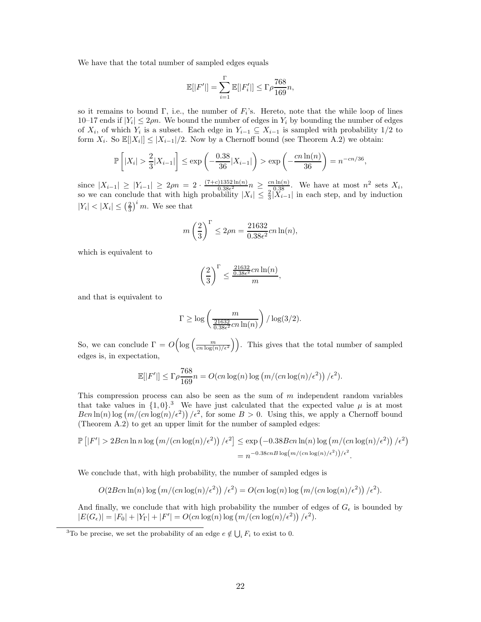We have that the total number of sampled edges equals

$$
\mathbb{E}[|F'|] = \sum_{i=1}^{\Gamma} \mathbb{E}[|F'_i|] \le \Gamma \rho \frac{768}{169} n,
$$

so it remains to bound  $\Gamma$ , i.e., the number of  $F_i$ 's. Hereto, note that the while loop of lines 10–17 ends if  $|Y_i| \le 2\rho n$ . We bound the number of edges in  $Y_i$  by bounding the number of edges of  $X_i$ , of which  $Y_i$  is a subset. Each edge in  $Y_{i-1} \subseteq X_{i-1}$  is sampled with probability 1/2 to form  $X_i$ . So  $\mathbb{E}[|X_i|] \leq |X_{i-1}|/2$ . Now by a Chernoff bound (see Theorem [A.2\)](#page-27-5) we obtain:

$$
\mathbb{P}\left[|X_i| > \frac{2}{3}|X_{i-1}|\right] \le \exp\left(-\frac{0.38}{36}|X_{i-1}|\right) > \exp\left(-\frac{cn\ln(n)}{36}\right) = n^{-cn/36},
$$

since  $|X_{i-1}| \ge |Y_{i-1}| \ge 2\rho n = 2 \cdot \frac{(7+c)1352 \ln(n)}{0.38\epsilon^2}$  $\frac{0.3352 \ln(n)}{0.38\epsilon^2} n \geq \frac{cn \ln(n)}{0.38}$ . We have at most  $n^2$  sets  $X_i$ , so we can conclude that with high probability  $|X_i| \leq \frac{2}{3}|\widetilde{X}_{i-1}|$  in each step, and by induction  $|Y_i| < |X_i| \leq \left(\frac{2}{3}\right)^i m$ . We see that

$$
m\left(\frac{2}{3}\right)^{\Gamma} \le 2\rho n = \frac{21632}{0.38\epsilon^2}cn\ln(n),
$$

which is equivalent to

$$
\left(\frac{2}{3}\right)^{\Gamma} \le \frac{\frac{21632}{0.38\epsilon^2}cn\ln(n)}{m},
$$

and that is equivalent to

$$
\Gamma \ge \log \left( \frac{m}{\frac{21632}{0.38\epsilon^2}cn \ln(n)} \right) / \log(3/2).
$$

So, we can conclude  $\Gamma = O\left(\log\left(\frac{m}{cn\log(n)/\epsilon^2}\right)\right)$ . This gives that the total number of sampled edges is, in expectation,

$$
\mathbb{E}[|F'|] \le \Gamma \rho \frac{768}{169} n = O(cn \log(n) \log (m/(cn \log(n)/\epsilon^2)) / \epsilon^2).
$$

This compression process can also be seen as the sum of  $m$  independent random variables that take values in  $\{1, 0\}$ .<sup>[3](#page-21-0)</sup> We have just calculated that the expected value  $\mu$  is at most  $B\text{cn}\ln(n)\log(m/(cn\log(n)/\epsilon^2))$  / $\epsilon^2$ , for some  $B > 0$ . Using this, we apply a Chernoff bound (Theorem [A.2\)](#page-27-5) to get an upper limit for the number of sampled edges:

$$
\mathbb{P}\left[|F'| > 2Bcn\ln n\log \left(m/(cn\log(n)/\epsilon^2)\right)/\epsilon^2\right] \le \exp\left(-0.38Bcn\ln(n)\log\left(m/(cn\log(n)/\epsilon^2)\right)/\epsilon^2\right)
$$

$$
= n^{-0.38cnB\log\left(m/(cn\log(n)/\epsilon^2)\right)/\epsilon^2}.
$$

We conclude that, with high probability, the number of sampled edges is

$$
O(2Bcn\ln(n)\log(m/(cn\log(n)/\epsilon^2))/\epsilon^2) = O(cn\log(n)\log(m/(cn\log(n)/\epsilon^2))/\epsilon^2).
$$

And finally, we conclude that with high probability the number of edges of  $G_{\epsilon}$  is bounded by  $|E(G_{\epsilon})| = |F_0| + |Y_{\Gamma}| + |F'| = O(cn \log(n) \log (m/(cn \log(n)/\epsilon^2)) / \epsilon^2).$ 

<span id="page-21-0"></span><sup>&</sup>lt;sup>3</sup>To be precise, we set the probability of an edge  $e \notin \bigcup_i F_i$  to exist to 0.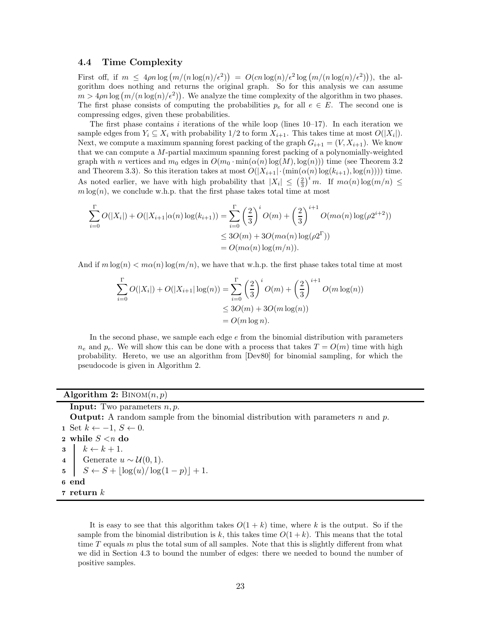#### <span id="page-22-0"></span>4.4 Time Complexity

First off, if  $m \leq 4\rho n \log(m/(n \log(n)/\epsilon^2)) = O(cn \log(n)/\epsilon^2 \log(m/(n \log(n)/\epsilon^2)))$ , the algorithm does nothing and returns the original graph. So for this analysis we can assume  $m > 4\rho n \log(m/(n \log(n)/\epsilon^2))$ . We analyze the time complexity of the algorithm in two phases. The first phase consists of computing the probabilities  $p_e$  for all  $e \in E$ . The second one is compressing edges, given these probabilities.

The first phase contains i iterations of the while loop (lines  $10-17$ ). In each iteration we sample edges from  $Y_i \subseteq X_i$  with probability  $1/2$  to form  $X_{i+1}$ . This takes time at most  $O(|X_i|)$ . Next, we compute a maximum spanning forest packing of the graph  $G_{i+1} = (V, X_{i+1})$ . We know that we can compute a M-partial maximum spanning forest packing of a polynomially-weighted graph with n vertices and  $m_0$  edges in  $O(m_0 \cdot \min(\alpha(n) \log(M), \log(n)))$  time (see Theorem [3.2](#page-7-4)) and Theorem [3.3\)](#page-8-0). So this iteration takes at most  $O(|X_{i+1}| \cdot (\min(\alpha(n) \log(k_{i+1}), \log(n))))$  time. As noted earlier, we have with high probability that  $|X_i| \leq (\frac{2}{3})^i m$ . If  $m\alpha(n) \log(m/n) \leq$  $m \log(n)$ , we conclude w.h.p. that the first phase takes total time at most

$$
\sum_{i=0}^{\Gamma} O(|X_i|) + O(|X_{i+1}|\alpha(n)\log(k_{i+1})) = \sum_{i=0}^{\Gamma} \left(\frac{2}{3}\right)^i O(m) + \left(\frac{2}{3}\right)^{i+1} O(m\alpha(n)\log(\rho 2^{i+2}))
$$
  

$$
\leq 3O(m) + 3O(m\alpha(n)\log(\rho 2^{\Gamma}))
$$
  

$$
= O(m\alpha(n)\log(m/n)).
$$

And if  $m \log(n) < m\alpha(n) \log(m/n)$ , we have that w.h.p. the first phase takes total time at most

$$
\sum_{i=0}^{\Gamma} O(|X_i|) + O(|X_{i+1}| \log(n)) = \sum_{i=0}^{\Gamma} \left(\frac{2}{3}\right)^i O(m) + \left(\frac{2}{3}\right)^{i+1} O(m \log(n))
$$
  

$$
\leq 3O(m) + 3O(m \log(n))
$$
  

$$
= O(m \log n).
$$

In the second phase, we sample each edge  $e$  from the binomial distribution with parameters  $n_e$  and  $p_e$ . We will show this can be done with a process that takes  $T = O(m)$  time with high probability. Hereto, we use an algorithm from [\[Dev80\]](#page-26-15) for binomial sampling, for which the pseudocode is given in Algorithm [2.](#page-22-1)

#### <span id="page-22-1"></span>Algorithm 2:  $\text{Binom}(n, p)$

**Input:** Two parameters  $n, p$ . **Output:** A random sample from the binomial distribution with parameters n and p. 1 Set  $k \leftarrow -1, S \leftarrow 0$ . 2 while S <*n* do  $\begin{array}{c|c} \mathbf{3} & k \leftarrow k+1. \\ \hline \mathbf{4} & \text{Generate } u \end{array}$ 4 Generate  $u \sim \mathcal{U}(0, 1)$ .  $5 \mid S \leftarrow S + \lfloor \log(u) / \log(1-p) \rfloor + 1.$ 6 end  $\,$  return  $k$ 

It is easy to see that this algorithm takes  $O(1 + k)$  time, where k is the output. So if the sample from the binomial distribution is k, this takes time  $O(1 + k)$ . This means that the total time  $T$  equals  $m$  plus the total sum of all samples. Note that this is slightly different from what we did in Section [4.3](#page-20-0) to bound the number of edges: there we needed to bound the number of positive samples.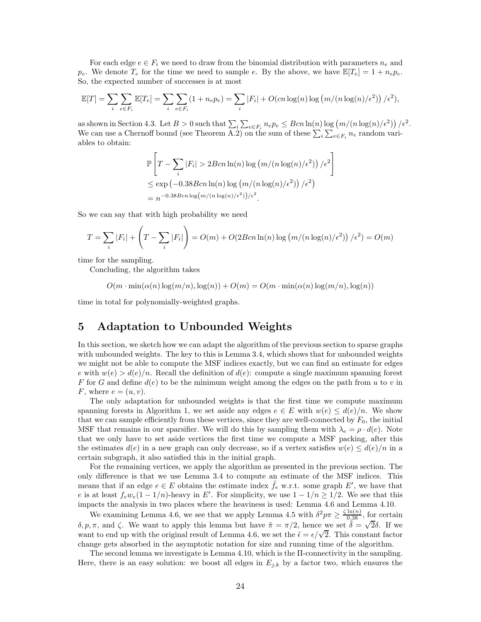For each edge  $e \in F_i$  we need to draw from the binomial distribution with parameters  $n_e$  and  $p_e$ . We denote  $T_e$  for the time we need to sample e. By the above, we have  $\mathbb{E}[T_e] = 1 + n_e p_e$ . So, the expected number of successes is at most

$$
\mathbb{E}[T] = \sum_{i} \sum_{e \in F_i} \mathbb{E}[T_e] = \sum_{i} \sum_{e \in F_i} (1 + n_e p_e) = \sum_{i} |F_i| + O(cn \log(n) \log(m/(n \log(n)/\epsilon^2)) / \epsilon^2),
$$

as shown in Section [4.3.](#page-20-0) Let  $B > 0$  such that  $\sum_i \sum_{e \in F_i} n_e p_e \leq Bcn \ln(n) \log(m/(n \log(n)/\epsilon^2)) / \epsilon^2$ . We can use a Chernoff bound (see Theorem  $\overline{A.2}$ ) on the sum of these  $\sum_i \sum_{e \in F_i} n_e$  random variables to obtain:

$$
\mathbb{P}\left[T - \sum_{i} |F_{i}| > 2Bcn \ln(n) \log(m/(n \log(n)/\epsilon^{2})) / \epsilon^{2}\right]
$$
  
\n
$$
\leq \exp(-0.38Bcn \ln(n) \log(m/(n \log(n)/\epsilon^{2})) / \epsilon^{2})
$$
  
\n
$$
= n^{-0.38Bcn \log(m/(n \log(n)/\epsilon^{2})) / \epsilon^{2}}.
$$

So we can say that with high probability we need

$$
T = \sum_{i} |F_i| + \left(T - \sum_{i} |F_i|\right) = O(m) + O(2Bcn\ln(n)\log\left(m/(n\log(n)/\epsilon^2)\right)/\epsilon^2) = O(m)
$$

time for the sampling.

Concluding, the algorithm takes

$$
O(m \cdot \min(\alpha(n) \log(m/n), \log(n)) + O(m) = O(m \cdot \min(\alpha(n) \log(m/n), \log(n))
$$

<span id="page-23-0"></span>time in total for polynomially-weighted graphs.

## 5 Adaptation to Unbounded Weights

In this section, we sketch how we can adapt the algorithm of the previous section to sparse graphs with unbounded weights. The key to this is Lemma [3.4,](#page-9-2) which shows that for unbounded weights we might not be able to compute the MSF indices exactly, but we can find an estimate for edges e with  $w(e) > d(e)/n$ . Recall the definition of  $d(e)$ : compute a single maximum spanning forest F for G and define  $d(e)$  to be the minimum weight among the edges on the path from u to v in F, where  $e = (u, v)$ .

The only adaptation for unbounded weights is that the first time we compute maximum spanning forests in Algorithm [1,](#page-13-1) we set aside any edges  $e \in E$  with  $w(e) \leq d(e)/n$ . We show that we can sample efficiently from these vertices, since they are well-connected by  $F_0$ , the initial MSF that remains in our sparsifier. We will do this by sampling them with  $\lambda_e = \rho \cdot d(e)$ . Note that we only have to set aside vertices the first time we compute a MSF packing, after this the estimates  $d(e)$  in a new graph can only decrease, so if a vertex satisfies  $w(e) \leq d(e)/n$  in a certain subgraph, it also satisfied this in the initial graph.

For the remaining vertices, we apply the algorithm as presented in the previous section. The only difference is that we use Lemma [3.4](#page-9-2) to compute an estimate of the MSF indices. This means that if an edge  $e \in E$  obtains the estimate index  $\tilde{f}_e$  w.r.t. some graph  $E'$ , we have that e is at least  $f_e w_e (1 - 1/n)$ -heavy in E'. For simplicity, we use  $1 - 1/n \ge 1/2$ . We see that this impacts the analysis in two places where the heaviness is used: Lemma [4.6](#page-14-0) and Lemma [4.10.](#page-17-0)

We examining Lemma [4.6,](#page-14-0) we see that we apply Lemma [4.5](#page-13-0) with  $\delta^2 p \pi \geq \frac{\zeta \ln(n)}{0.38}$ , for certain δ, p, π, and ζ. We want to apply this lemma but have  $\tilde{\pi} = \pi/2$ , hence we set  $\tilde{\delta} = \sqrt{2}\delta$ . If we want to end up with the original result of Lemma [4.6,](#page-14-0) we set the  $\tilde{\epsilon} = \epsilon/\sqrt{2}$ . This constant factor change gets absorbed in the asymptotic notation for size and running time of the algorithm.

The second lemma we investigate is Lemma [4.10,](#page-17-0) which is the Π-connectivity in the sampling. Here, there is an easy solution: we boost all edges in  $E_{j,k}$  by a factor two, which ensures the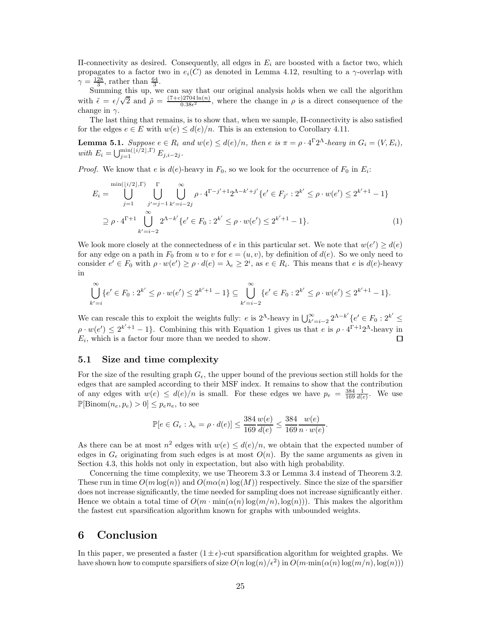$\Pi$ -connectivity as desired. Consequently, all edges in  $E_i$  are boosted with a factor two, which propagates to a factor two in  $e_i(C)$  as denoted in Lemma [4.12,](#page-17-2) resulting to a  $\gamma$ -overlap with  $\gamma = \frac{128}{3}$ , rather than  $\frac{64}{3}$ .

Summing this up, we can say that our original analysis holds when we call the algorithm with  $\tilde{\epsilon} = \epsilon/\sqrt{2}$  and  $\tilde{\rho} = \frac{(7+c)2704 \ln(n)}{0.38\epsilon^2}$ , where the change in  $\rho$  is a direct consequence of the  $\frac{D^{2704 \ln(n)}}{0.38\epsilon^2}$ , where the change in  $\rho$  is a direct consequence of the change in  $\gamma$ .

The last thing that remains, is to show that, when we sample, Π-connectivity is also satisfied for the edges  $e \in E$  with  $w(e) \leq d(e)/n$ . This is an extension to Corollary [4.11.](#page-17-1)

**Lemma 5.1.** *Suppose*  $e \in R_i$  *and*  $w(e) \leq d(e)/n$ *, then*  $e$  *is*  $\pi = \rho \cdot 4^{\Gamma} 2^{\Lambda}$ -heavy *in*  $G_i = (V, E_i)$ *, with*  $E_i = \bigcup_{j=1}^{\min(\lfloor i/2 \rfloor, \Gamma)} E_{j, i-2j}$ *.* 

*Proof.* We know that e is  $d(e)$ -heavy in  $F_0$ , so we look for the occurrence of  $F_0$  in  $E_i$ :

$$
E_{i} = \bigcup_{j=1}^{\min(\lfloor i/2 \rfloor, \Gamma)} \bigcup_{j'=j-1}^{\Gamma} \bigcup_{k'=i-2j}^{\infty} \rho \cdot 4^{\Gamma-j'+1} 2^{\Lambda-k'+j'} \{ e' \in F_{j'} : 2^{k'} \le \rho \cdot w(e') \le 2^{k'+1} - 1 \}
$$
  

$$
\supseteq \rho \cdot 4^{\Gamma+1} \bigcup_{k'=i-2}^{\infty} 2^{\Lambda-k'} \{ e' \in F_{0} : 2^{k'} \le \rho \cdot w(e') \le 2^{k'+1} - 1 \}. \tag{1}
$$

We look more closely at the connectedness of e in this particular set. We note that  $w(e') \geq d(e)$ for any edge on a path in  $F_0$  from u to v for  $e = (u, v)$ , by definition of  $d(e)$ . So we only need to consider  $e' \in F_0$  with  $\rho \cdot w(e') \ge \rho \cdot d(e) = \lambda_e \ge 2^i$ , as  $e \in R_i$ . This means that e is  $d(e)$ -heavy in

$$
\bigcup_{k'=i}^{\infty} \{e' \in F_0 : 2^{k'} \le \rho \cdot w(e') \le 2^{k'+1} - 1\} \subseteq \bigcup_{k'=i-2}^{\infty} \{e' \in F_0 : 2^{k'} \le \rho \cdot w(e') \le 2^{k'+1} - 1\}.
$$

We can rescale this to exploit the weights fully:  $e$  is  $2^{\Lambda}$ -heavy in  $\bigcup_{k'=i-2}^{\infty} 2^{\Lambda-k'} \{e' \in F_0 : 2^{k'} \leq$  $\rho \cdot w(e') \leq 2^{k'+1} - 1$  $\rho \cdot w(e') \leq 2^{k'+1} - 1$ . Combining this with Equation 1 gives us that e is  $\rho \cdot 4^{\Gamma+1} 2^{\Lambda}$ -heavy in  $E_i$ , which is a factor four more than we needed to show.  $\Box$ 

#### 5.1 Size and time complexity

For the size of the resulting graph  $G_{\epsilon}$ , the upper bound of the previous section still holds for the edges that are sampled according to their MSF index. It remains to show that the contribution of any edges with  $w(e) \leq d(e)/n$  is small. For these edges we have  $p_e = \frac{384}{169} \frac{1}{d(e)}$ . We use  $\mathbb{P}[\text{Binom}(n_e, p_e) > 0] \leq p_e n_e$ , to see

$$
\mathbb{P}[e \in G_{\epsilon} : \lambda_e = \rho \cdot d(e)] \le \frac{384}{169} \frac{w(e)}{d(e)} \le \frac{384}{169} \frac{w(e)}{n \cdot w(e)}
$$

<span id="page-24-0"></span>.

As there can be at most  $n^2$  edges with  $w(e) \leq d(e)/n$ , we obtain that the expected number of edges in  $G_{\epsilon}$  originating from such edges is at most  $O(n)$ . By the same arguments as given in Section [4.3,](#page-20-0) this holds not only in expectation, but also with high probability.

Concerning the time complexity, we use Theorem [3.3](#page-8-0) or Lemma [3.4](#page-9-2) instead of Theorem [3.2.](#page-7-4) These run in time  $O(m \log(n))$  and  $O(m \alpha(n) \log(M))$  respectively. Since the size of the sparsifier does not increase significantly, the time needed for sampling does not increase significantly either. Hence we obtain a total time of  $O(m \cdot \min(\alpha(n) \log(m/n), \log(n)))$ . This makes the algorithm the fastest cut sparsification algorithm known for graphs with unbounded weights.

# 6 Conclusion

In this paper, we presented a faster  $(1 \pm \epsilon)$ -cut sparsification algorithm for weighted graphs. We have shown how to compute sparsifiers of size  $O(n \log(n)/\epsilon^2)$  in  $O(m \cdot \min(\alpha(n) \log(m/n), \log(n)))$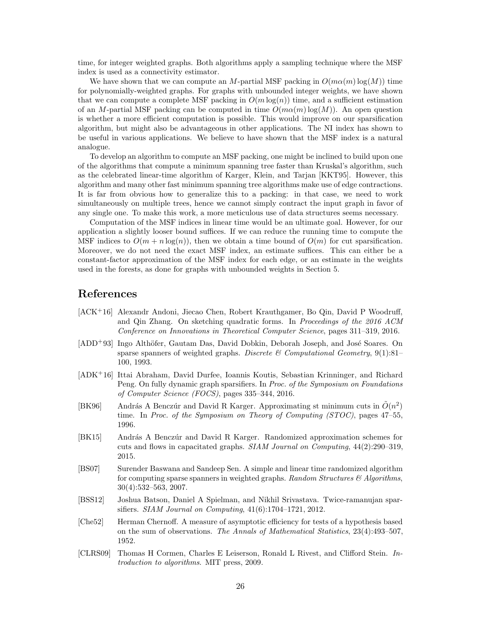time, for integer weighted graphs. Both algorithms apply a sampling technique where the MSF index is used as a connectivity estimator.

We have shown that we can compute an M-partial MSF packing in  $O(m\alpha(m)\log(M))$  time for polynomially-weighted graphs. For graphs with unbounded integer weights, we have shown that we can compute a complete MSF packing in  $O(m \log(n))$  time, and a sufficient estimation of an M-partial MSF packing can be computed in time  $O(m\alpha(m)\log(M))$ . An open question is whether a more efficient computation is possible. This would improve on our sparsification algorithm, but might also be advantageous in other applications. The NI index has shown to be useful in various applications. We believe to have shown that the MSF index is a natural analogue.

To develop an algorithm to compute an MSF packing, one might be inclined to build upon one of the algorithms that compute a minimum spanning tree faster than Kruskal's algorithm, such as the celebrated linear-time algorithm of Karger, Klein, and Tarjan [\[KKT95\]](#page-26-16). However, this algorithm and many other fast minimum spanning tree algorithms make use of edge contractions. It is far from obvious how to generalize this to a packing: in that case, we need to work simultaneously on multiple trees, hence we cannot simply contract the input graph in favor of any single one. To make this work, a more meticulous use of data structures seems necessary.

Computation of the MSF indices in linear time would be an ultimate goal. However, for our application a slightly looser bound suffices. If we can reduce the running time to compute the MSF indices to  $O(m + n \log(n))$ , then we obtain a time bound of  $O(m)$  for cut sparsification. Moreover, we do not need the exact MSF index, an estimate suffices. This can either be a constant-factor approximation of the MSF index for each edge, or an estimate in the weights used in the forests, as done for graphs with unbounded weights in Section [5.](#page-23-0)

## References

- <span id="page-25-5"></span>[ACK<sup>+</sup>16] Alexandr Andoni, Jiecao Chen, Robert Krauthgamer, Bo Qin, David P Woodruff, and Qin Zhang. On sketching quadratic forms. In *Proceedings of the 2016 ACM Conference on Innovations in Theoretical Computer Science*, pages 311–319, 2016.
- <span id="page-25-0"></span>[ADD<sup>+</sup>93] Ingo Althöfer, Gautam Das, David Dobkin, Deborah Joseph, and José Soares. On sparse spanners of weighted graphs. *Discrete & Computational Geometry*, 9(1):81– 100, 1993.
- <span id="page-25-6"></span>[ADK<sup>+</sup>16] Ittai Abraham, David Durfee, Ioannis Koutis, Sebastian Krinninger, and Richard Peng. On fully dynamic graph sparsifiers. In *Proc. of the Symposium on Foundations of Computer Science (FOCS)*, pages 335–344, 2016.
- <span id="page-25-2"></span>[BK96] András A Benczúr and David R Karger. Approximating st minimum cuts in  $\tilde{O}(n^2)$ time. In *Proc. of the Symposium on Theory of Computing (STOC)*, pages 47–55, 1996.
- <span id="page-25-3"></span>[BK15] András A Benczúr and David R Karger. Randomized approximation schemes for cuts and flows in capacitated graphs. *SIAM Journal on Computing*, 44(2):290–319, 2015.
- <span id="page-25-1"></span>[BS07] Surender Baswana and Sandeep Sen. A simple and linear time randomized algorithm for computing sparse spanners in weighted graphs. *Random Structures & Algorithms*, 30(4):532–563, 2007.
- <span id="page-25-4"></span>[BSS12] Joshua Batson, Daniel A Spielman, and Nikhil Srivastava. Twice-ramanujan sparsifiers. *SIAM Journal on Computing*, 41(6):1704–1721, 2012.
- <span id="page-25-8"></span>[Che52] Herman Chernoff. A measure of asymptotic efficiency for tests of a hypothesis based on the sum of observations. *The Annals of Mathematical Statistics*, 23(4):493–507, 1952.
- <span id="page-25-7"></span>[CLRS09] Thomas H Cormen, Charles E Leiserson, Ronald L Rivest, and Clifford Stein. *Introduction to algorithms*. MIT press, 2009.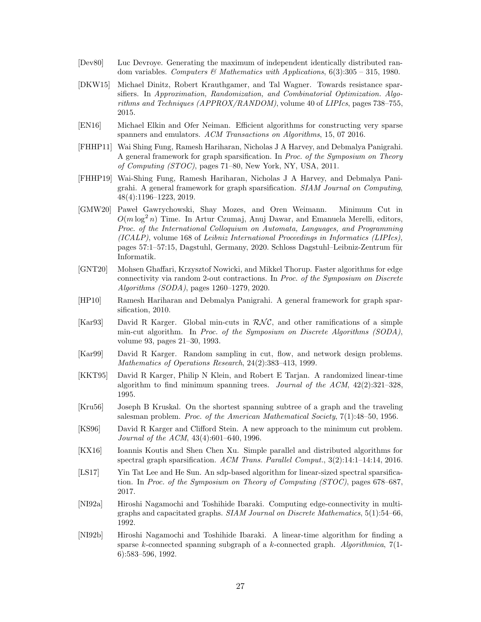- <span id="page-26-15"></span>[Dev80] Luc Devroye. Generating the maximum of independent identically distributed random variables. *Computers & Mathematics with Applications*, 6(3):305 – 315, 1980.
- <span id="page-26-0"></span>[DKW15] Michael Dinitz, Robert Krauthgamer, and Tal Wagner. Towards resistance sparsifiers. In *Approximation, Randomization, and Combinatorial Optimization. Algorithms and Techniques (APPROX/RANDOM)*, volume 40 of *LIPIcs*, pages 738–755, 2015.
- <span id="page-26-1"></span>[EN16] Michael Elkin and Ofer Neiman. Efficient algorithms for constructing very sparse spanners and emulators. *ACM Transactions on Algorithms*, 15, 07 2016.
- <span id="page-26-8"></span>[FHHP11] Wai Shing Fung, Ramesh Hariharan, Nicholas J A Harvey, and Debmalya Panigrahi. A general framework for graph sparsification. In *Proc. of the Symposium on Theory of Computing (STOC)*, pages 71–80, New York, NY, USA, 2011.
- <span id="page-26-2"></span>[FHHP19] Wai-Shing Fung, Ramesh Hariharan, Nicholas J A Harvey, and Debmalya Panigrahi. A general framework for graph sparsification. *SIAM Journal on Computing*, 48(4):1196–1223, 2019.
- <span id="page-26-10"></span>[GMW20] Pawel Gawrychowski, Shay Mozes, and Oren Weimann. Minimum Cut in  $O(m \log^2 n)$  Time. In Artur Czumaj, Anuj Dawar, and Emanuela Merelli, editors, *Proc. of the International Colloquium on Automata, Languages, and Programming (ICALP)*, volume 168 of *Leibniz International Proceedings in Informatics (LIPIcs)*, pages 57:1–57:15, Dagstuhl, Germany, 2020. Schloss Dagstuhl–Leibniz-Zentrum für Informatik.
- <span id="page-26-11"></span>[GNT20] Mohsen Ghaffari, Krzysztof Nowicki, and Mikkel Thorup. Faster algorithms for edge connectivity via random 2-out contractions. In *Proc. of the Symposium on Discrete Algorithms (SODA)*, pages 1260–1279, 2020.
- <span id="page-26-9"></span>[HP10] Ramesh Hariharan and Debmalya Panigrahi. A general framework for graph sparsification, 2010.
- <span id="page-26-13"></span>[Kar93] David R Karger. Global min-cuts in  $\mathcal{RNC}$ , and other ramifications of a simple min-cut algorithm. In *Proc. of the Symposium on Discrete Algorithms (SODA)*, volume 93, pages 21–30, 1993.
- <span id="page-26-5"></span>[Kar99] David R Karger. Random sampling in cut, flow, and network design problems. *Mathematics of Operations Research*, 24(2):383–413, 1999.
- <span id="page-26-16"></span>[KKT95] David R Karger, Philip N Klein, and Robert E Tarjan. A randomized linear-time algorithm to find minimum spanning trees. *Journal of the ACM*, 42(2):321–328, 1995.
- <span id="page-26-12"></span>[Kru56] Joseph B Kruskal. On the shortest spanning subtree of a graph and the traveling salesman problem. *Proc. of the American Mathematical Society*, 7(1):48–50, 1956.
- <span id="page-26-14"></span>[KS96] David R Karger and Clifford Stein. A new approach to the minimum cut problem. *Journal of the ACM*, 43(4):601–640, 1996.
- <span id="page-26-3"></span>[KX16] Ioannis Koutis and Shen Chen Xu. Simple parallel and distributed algorithms for spectral graph sparsification. *ACM Trans. Parallel Comput.*, 3(2):14:1–14:14, 2016.
- <span id="page-26-4"></span>[LS17] Yin Tat Lee and He Sun. An sdp-based algorithm for linear-sized spectral sparsification. In *Proc. of the Symposium on Theory of Computing (STOC)*, pages 678–687, 2017.
- <span id="page-26-6"></span>[NI92a] Hiroshi Nagamochi and Toshihide Ibaraki. Computing edge-connectivity in multigraphs and capacitated graphs. *SIAM Journal on Discrete Mathematics*, 5(1):54–66, 1992.
- <span id="page-26-7"></span>[NI92b] Hiroshi Nagamochi and Toshihide Ibaraki. A linear-time algorithm for finding a sparse k-connected spanning subgraph of a k-connected graph. *Algorithmica*, 7(1- 6):583–596, 1992.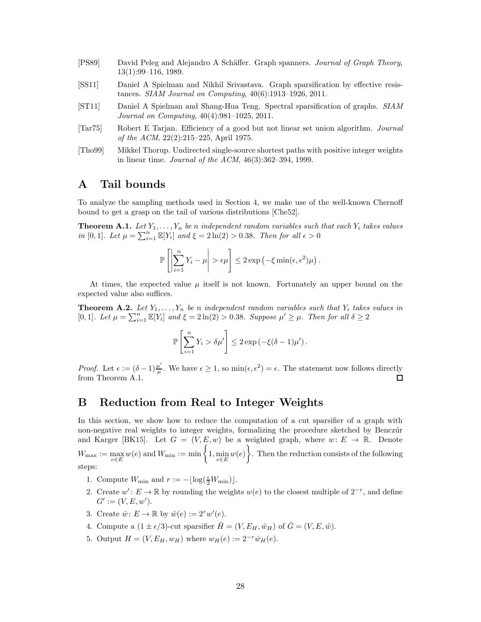- <span id="page-27-0"></span>[PS89] David Peleg and Alejandro A Schäffer. Graph spanners. *Journal of Graph Theory*, 13(1):99–116, 1989.
- <span id="page-27-2"></span>[SS11] Daniel A Spielman and Nikhil Srivastava. Graph sparsification by effective resistances. *SIAM Journal on Computing*, 40(6):1913–1926, 2011.
- <span id="page-27-1"></span>[ST11] Daniel A Spielman and Shang-Hua Teng. Spectral sparsification of graphs. *SIAM Journal on Computing*, 40(4):981–1025, 2011.
- <span id="page-27-3"></span>[Tar75] Robert E Tarjan. Efficiency of a good but not linear set union algorithm. *Journal of the ACM*, 22(2):215–225, April 1975.
- <span id="page-27-6"></span>[Tho99] Mikkel Thorup. Undirected single-source shortest paths with positive integer weights in linear time. *Journal of the ACM*, 46(3):362–394, 1999.

### A Tail bounds

To analyze the sampling methods used in Section [4,](#page-9-0) we make use of the well-known Chernoff bound to get a grasp on the tail of various distributions [\[Che52\]](#page-25-8).

<span id="page-27-7"></span>**Theorem A.1.** Let  $Y_1, \ldots, Y_n$  be n independent random variables such that each  $Y_i$  takes values *in* [0, 1]*. Let*  $\mu = \sum_{i=1}^{n} \mathbb{E}[Y_i]$  *and*  $\xi = 2 \ln(2) > 0.38$ *. Then for all*  $\epsilon > 0$ 

$$
\mathbb{P}\left[\left|\sum_{i=1}^n Y_i - \mu\right| > \epsilon \mu\right] \leq 2 \exp\left(-\xi \min(\epsilon, \epsilon^2)\mu\right).
$$

At times, the expected value  $\mu$  itself is not known. Fortunately an upper bound on the expected value also suffices.

<span id="page-27-5"></span>**Theorem A.2.** Let  $Y_1, \ldots, Y_n$  be *n* independent random variables such that  $Y_i$  takes values in [0,1]. Let  $\mu = \sum_{i=1}^{n} \mathbb{E}[Y_i]$  and  $\xi = 2 \ln(2) > 0.38$ . Suppose  $\mu' \ge \mu$ . Then for all  $\delta \ge 2$ 

$$
\mathbb{P}\left[\sum_{i=1}^n Y_i > \delta \mu'\right] \leq 2 \exp\left(-\xi(\delta - 1)\mu'\right).
$$

*Proof.* Let  $\epsilon := (\delta - 1) \frac{\mu'}{\mu}$  $\frac{u'}{\mu}$ . We have  $\epsilon \geq 1$ , so  $\min(\epsilon, \epsilon^2) = \epsilon$ . The statement now follows directly from Theorem [A.1.](#page-27-7)  $\Box$ 

## <span id="page-27-4"></span>B Reduction from Real to Integer Weights

In this section, we show how to reduce the computation of a cut sparsifier of a graph with non-negative real weights to integer weights, formalizing the procedure sketched by Benczúr and Karger [\[BK15\]](#page-25-3). Let  $G = (V, E, w)$  be a weighted graph, where  $w: E \to \mathbb{R}$ . Denote  $W_{\text{max}} := \max_{e \in E} w(e)$  and  $W_{\text{min}} := \min \left\{ 1, \min_{e \in E} w(e) \right\}$  $\mathcal{L}$ . Then the reduction consists of the following steps:

- <span id="page-27-9"></span><span id="page-27-8"></span>1. Compute  $W_{\min}$  and  $r := -\lfloor \log(\frac{\epsilon}{2}W_{\min}) \rfloor$ .
- 2. Create  $w'$ :  $E \to \mathbb{R}$  by rounding the weights  $w(e)$  to the closest multiple of  $2^{-r}$ , and define  $G' := (V, E, w').$
- <span id="page-27-10"></span>3. Create  $\hat{w} \colon E \to \mathbb{R}$  by  $\hat{w}(e) := 2^r w'(e)$ .
- <span id="page-27-11"></span>4. Compute a  $(1 \pm \epsilon/3)$ -cut sparsifier  $\hat{H} = (V, E_H, \hat{w}_H)$  of  $\hat{G} = (V, E, \hat{w})$ .
- 5. Output  $H = (V, E_H, w_H)$  where  $w_H(e) := 2^{-r} \hat{w}_H(e)$ .